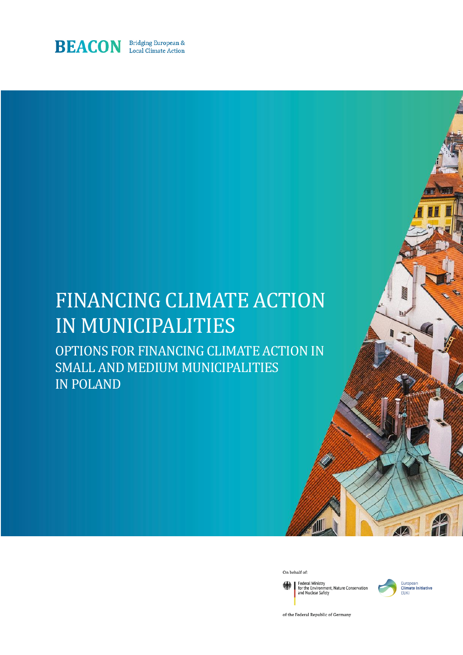

# FINANCING CLIMATE ACTION IN MUNICIPALITIES

OPTIONS FOR FINANCING CLIMATE ACTION IN SMALL AND MEDIUM MUNICIPALITIES IN POLAND

On behalf of:

Federal Ministry<br>for the Environment, Nature Conservation<br>and Nuclear Safety



4Z

of the Federal Republic of Germany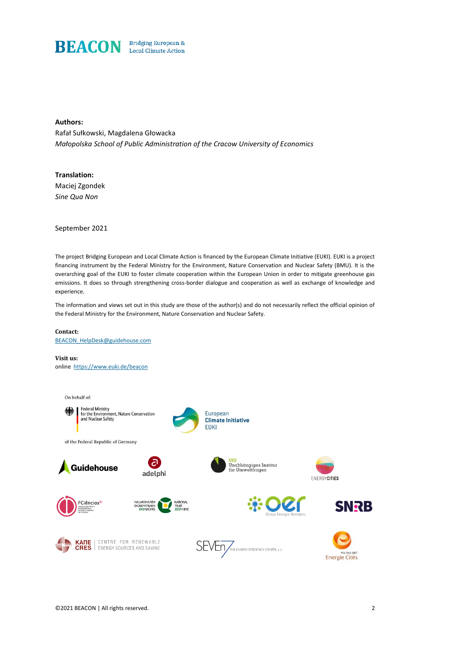

#### **Authors:**

Rafał Sułkowski, Magdalena Głowacka *Małopolska School of Public Administration of the Cracow University of Economics*

#### **Translation:**

Maciej Zgondek *Sine Qua Non* 

September 2021

The project Bridging European and Local Climate Action is financed by the European Climate Initiative (EUKI). EUKI is a project financing instrument by the Federal Ministry for the Environment, Nature Conservation and Nuclear Safety (BMU). It is the overarching goal of the EUKI to foster climate cooperation within the European Union in order to mitigate greenhouse gas emissions. It does so through strengthening cross-border dialogue and cooperation as well as exchange of knowledge and experience.

The information and views set out in this study are those of the author(s) and do not necessarily reflect the official opinion of the Federal Ministry for the Environment, Nature Conservation and Nuclear Safety.

#### **Contact:**

[BEACON\\_HelpDesk@guidehouse.com](mailto:BEACON_HelpDesk@guidehouse.com)

#### **Visit us:**  online <https://www.euki.de/beacon>

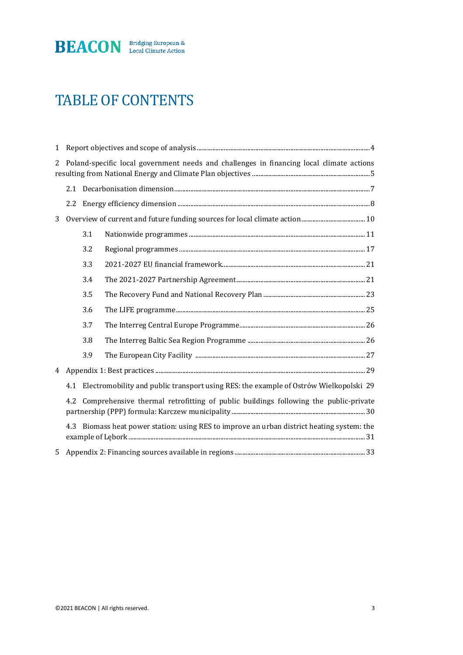

## TABLE OF CONTENTS

| $\mathbf{1}$ |                                                                                               |     |  |  |
|--------------|-----------------------------------------------------------------------------------------------|-----|--|--|
| 2            | Poland-specific local government needs and challenges in financing local climate actions      |     |  |  |
|              |                                                                                               |     |  |  |
|              | 2.2                                                                                           |     |  |  |
| 3            |                                                                                               |     |  |  |
|              |                                                                                               | 3.1 |  |  |
|              |                                                                                               | 3.2 |  |  |
|              |                                                                                               | 3.3 |  |  |
|              |                                                                                               | 3.4 |  |  |
|              |                                                                                               | 3.5 |  |  |
|              |                                                                                               | 3.6 |  |  |
|              |                                                                                               | 3.7 |  |  |
|              |                                                                                               | 3.8 |  |  |
|              |                                                                                               | 3.9 |  |  |
| 4            |                                                                                               |     |  |  |
|              | Electromobility and public transport using RES: the example of Ostrów Wielkopolski 29<br>4.1  |     |  |  |
|              | Comprehensive thermal retrofitting of public buildings following the public-private<br>4.2    |     |  |  |
|              | Biomass heat power station: using RES to improve an urban district heating system: the<br>4.3 |     |  |  |
| 5            |                                                                                               |     |  |  |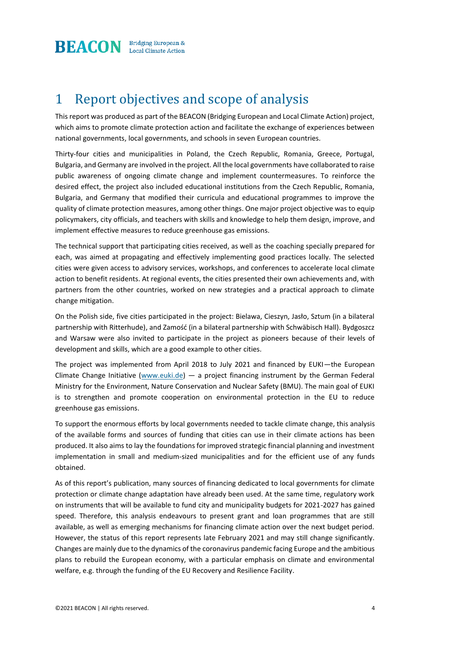

### 1 Report objectives and scope of analysis

This report was produced as part of the BEACON (Bridging European and Local Climate Action) project, which aims to promote climate protection action and facilitate the exchange of experiences between national governments, local governments, and schools in seven European countries.

Thirty-four cities and municipalities in Poland, the Czech Republic, Romania, Greece, Portugal, Bulgaria, and Germany are involved in the project. All the local governments have collaborated to raise public awareness of ongoing climate change and implement countermeasures. To reinforce the desired effect, the project also included educational institutions from the Czech Republic, Romania, Bulgaria, and Germany that modified their curricula and educational programmes to improve the quality of climate protection measures, among other things. One major project objective was to equip policymakers, city officials, and teachers with skills and knowledge to help them design, improve, and implement effective measures to reduce greenhouse gas emissions.

The technical support that participating cities received, as well as the coaching specially prepared for each, was aimed at propagating and effectively implementing good practices locally. The selected cities were given access to advisory services, workshops, and conferences to accelerate local climate action to benefit residents. At regional events, the cities presented their own achievements and, with partners from the other countries, worked on new strategies and a practical approach to climate change mitigation.

On the Polish side, five cities participated in the project: Bielawa, Cieszyn, Jasło, Sztum (in a bilateral partnership with Ritterhude), and Zamość (in a bilateral partnership with Schwäbisch Hall). Bydgoszcz and Warsaw were also invited to participate in the project as pioneers because of their levels of development and skills, which are a good example to other cities.

The project was implemented from April 2018 to July 2021 and financed by EUKI—the European Climate Change Initiative  $(www.euki.de)$  — a project financing instrument by the German Federal Ministry for the Environment, Nature Conservation and Nuclear Safety (BMU). The main goal of EUKI is to strengthen and promote cooperation on environmental protection in the EU to reduce greenhouse gas emissions.

To support the enormous efforts by local governments needed to tackle climate change, this analysis of the available forms and sources of funding that cities can use in their climate actions has been produced. It also aims to lay the foundations for improved strategic financial planning and investment implementation in small and medium-sized municipalities and for the efficient use of any funds obtained.

As of this report's publication, many sources of financing dedicated to local governments for climate protection or climate change adaptation have already been used. At the same time, regulatory work on instruments that will be available to fund city and municipality budgets for 2021-2027 has gained speed. Therefore, this analysis endeavours to present grant and loan programmes that are still available, as well as emerging mechanisms for financing climate action over the next budget period. However, the status of this report represents late February 2021 and may still change significantly. Changes are mainly due to the dynamics of the coronavirus pandemic facing Europe and the ambitious plans to rebuild the European economy, with a particular emphasis on climate and environmental welfare, e.g. through the funding of the EU Recovery and Resilience Facility.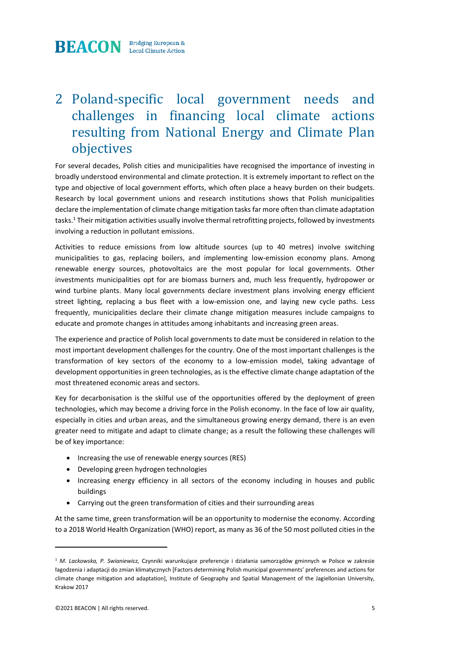

### 2 Poland-specific local government needs and challenges in financing local climate actions resulting from National Energy and Climate Plan objectives

For several decades, Polish cities and municipalities have recognised the importance of investing in broadly understood environmental and climate protection. It is extremely important to reflect on the type and objective of local government efforts, which often place a heavy burden on their budgets. Research by local government unions and research institutions shows that Polish municipalities declare the implementation of climate change mitigation tasks far more often than climate adaptation tasks.<sup>1</sup> Their mitigation activities usually involve thermal retrofitting projects, followed by investments involving a reduction in pollutant emissions.

Activities to reduce emissions from low altitude sources (up to 40 metres) involve switching municipalities to gas, replacing boilers, and implementing low-emission economy plans. Among renewable energy sources, photovoltaics are the most popular for local governments. Other investments municipalities opt for are biomass burners and, much less frequently, hydropower or wind turbine plants. Many local governments declare investment plans involving energy efficient street lighting, replacing a bus fleet with a low-emission one, and laying new cycle paths. Less frequently, municipalities declare their climate change mitigation measures include campaigns to educate and promote changes in attitudes among inhabitants and increasing green areas.

The experience and practice of Polish local governments to date must be considered in relation to the most important development challenges for the country. One of the most important challenges is the transformation of key sectors of the economy to a low-emission model, taking advantage of development opportunities in green technologies, as is the effective climate change adaptation of the most threatened economic areas and sectors.

Key for decarbonisation is the skilful use of the opportunities offered by the deployment of green technologies, which may become a driving force in the Polish economy. In the face of low air quality, especially in cities and urban areas, and the simultaneous growing energy demand, there is an even greater need to mitigate and adapt to climate change; as a result the following these challenges will be of key importance:

- Increasing the use of renewable energy sources (RES)
- Developing green hydrogen technologies
- Increasing energy efficiency in all sectors of the economy including in houses and public buildings
- Carrying out the green transformation of cities and their surrounding areas

At the same time, green transformation will be an opportunity to modernise the economy. According to a 2018 World Health Organization (WHO) report, as many as 36 of the 50 most polluted cities in the

<sup>1</sup> *M. Lackowska, P. Swianiewicz,* Czynniki warunkujące preferencje i działania samorządów gminnych w Polsce w zakresie łagodzenia i adaptacji do zmian klimatycznych [Factors determining Polish municipal governments' preferences and actions for climate change mitigation and adaptation], Institute of Geography and Spatial Management of the Jagiellonian University, Krakow 2017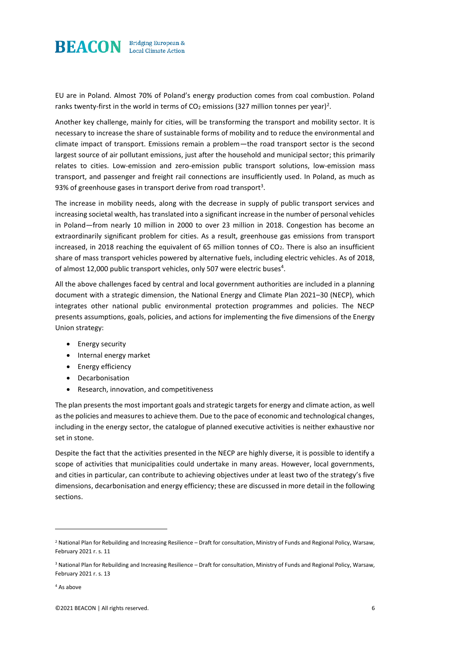

EU are in Poland. Almost 70% of Poland's energy production comes from coal combustion. Poland ranks twenty-first in the world in terms of CO $_2$  emissions (327 million tonnes per year)<sup>2</sup>.

Another key challenge, mainly for cities, will be transforming the transport and mobility sector. It is necessary to increase the share of sustainable forms of mobility and to reduce the environmental and climate impact of transport. Emissions remain a problem—the road transport sector is the second largest source of air pollutant emissions, just after the household and municipal sector; this primarily relates to cities. Low-emission and zero-emission public transport solutions, low-emission mass transport, and passenger and freight rail connections are insufficiently used. In Poland, as much as 93% of greenhouse gases in transport derive from road transport<sup>3</sup>.

The increase in mobility needs, along with the decrease in supply of public transport services and increasing societal wealth, has translated into a significant increase in the number of personal vehicles in Poland—from nearly 10 million in 2000 to over 23 million in 2018. Congestion has become an extraordinarily significant problem for cities. As a result, greenhouse gas emissions from transport increased, in 2018 reaching the equivalent of 65 million tonnes of  $CO<sub>2</sub>$ . There is also an insufficient share of mass transport vehicles powered by alternative fuels, including electric vehicles. As of 2018, of almost 12,000 public transport vehicles, only 507 were electric buses $^4$ .

All the above challenges faced by central and local government authorities are included in a planning document with a strategic dimension, the National Energy and Climate Plan 2021–30 (NECP), which integrates other national public environmental protection programmes and policies. The NECP presents assumptions, goals, policies, and actions for implementing the five dimensions of the Energy Union strategy:

- Energy security
- Internal energy market
- Energy efficiency
- Decarbonisation
- Research, innovation, and competitiveness

The plan presents the most important goals and strategic targets for energy and climate action, as well as the policies and measures to achieve them. Due to the pace of economic and technological changes, including in the energy sector, the catalogue of planned executive activities is neither exhaustive nor set in stone.

Despite the fact that the activities presented in the NECP are highly diverse, it is possible to identify a scope of activities that municipalities could undertake in many areas. However, local governments, and cities in particular, can contribute to achieving objectives under at least two of the strategy's five dimensions, decarbonisation and energy efficiency; these are discussed in more detail in the following sections.

<sup>2</sup> National Plan for Rebuilding and Increasing Resilience – Draft for consultation, Ministry of Funds and Regional Policy, Warsaw, February 2021 r. s. 11

<sup>&</sup>lt;sup>3</sup> National Plan for Rebuilding and Increasing Resilience – Draft for consultation, Ministry of Funds and Regional Policy, Warsaw, February 2021 r. s. 13

<sup>4</sup> As above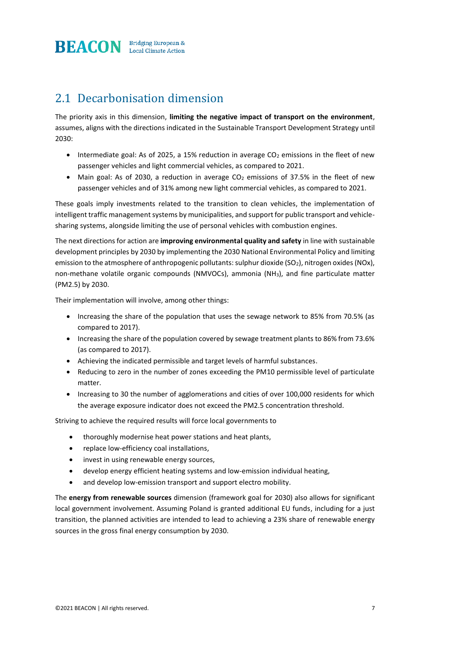

### 2.1 Decarbonisation dimension

The priority axis in this dimension, **limiting the negative impact of transport on the environment**, assumes, aligns with the directions indicated in the Sustainable Transport Development Strategy until 2030:

- Intermediate goal: As of 2025, a 15% reduction in average  $CO<sub>2</sub>$  emissions in the fleet of new passenger vehicles and light commercial vehicles, as compared to 2021.
- Main goal: As of 2030, a reduction in average  $CO<sub>2</sub>$  emissions of 37.5% in the fleet of new passenger vehicles and of 31% among new light commercial vehicles, as compared to 2021.

These goals imply investments related to the transition to clean vehicles, the implementation of intelligent traffic management systems by municipalities, and support for public transport and vehiclesharing systems, alongside limiting the use of personal vehicles with combustion engines.

The next directions for action are **improving environmental quality and safety** in line with sustainable development principles by 2030 by implementing the 2030 National Environmental Policy and limiting emission to the atmosphere of anthropogenic pollutants: sulphur dioxide (SO<sub>2</sub>), nitrogen oxides (NOx), non-methane volatile organic compounds (NMVOCs), ammonia (NH3), and fine particulate matter (PM2.5) by 2030.

Their implementation will involve, among other things:

- Increasing the share of the population that uses the sewage network to 85% from 70.5% (as compared to 2017).
- Increasing the share of the population covered by sewage treatment plants to 86% from 73.6% (as compared to 2017).
- Achieving the indicated permissible and target levels of harmful substances.
- Reducing to zero in the number of zones exceeding the PM10 permissible level of particulate matter.
- Increasing to 30 the number of agglomerations and cities of over 100,000 residents for which the average exposure indicator does not exceed the PM2.5 concentration threshold.

Striving to achieve the required results will force local governments to

- thoroughly modernise heat power stations and heat plants,
- replace low-efficiency coal installations,
- invest in using renewable energy sources,
- develop energy efficient heating systems and low-emission individual heating,
- and develop low-emission transport and support electro mobility.

The **energy from renewable sources** dimension (framework goal for 2030) also allows for significant local government involvement. Assuming Poland is granted additional EU funds, including for a just transition, the planned activities are intended to lead to achieving a 23% share of renewable energy sources in the gross final energy consumption by 2030.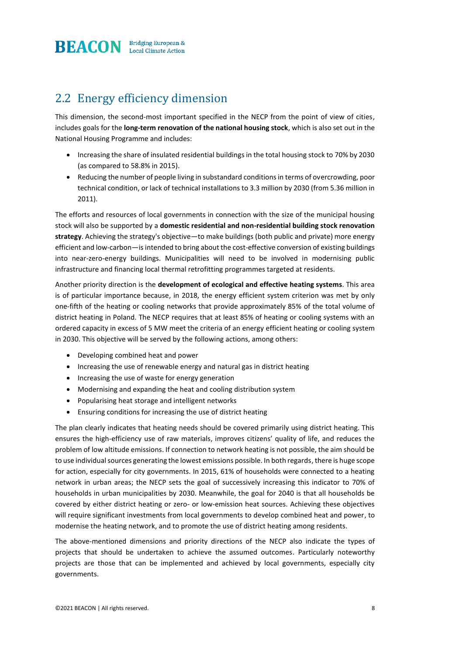

### 2.2 Energy efficiency dimension

This dimension, the second-most important specified in the NECP from the point of view of cities, includes goals for the **long-term renovation of the national housing stock**, which is also set out in the National Housing Programme and includes:

- Increasing the share of insulated residential buildings in the total housing stock to 70% by 2030 (as compared to 58.8% in 2015).
- Reducing the number of people living in substandard conditions in terms of overcrowding, poor technical condition, or lack of technical installations to 3.3 million by 2030 (from 5.36 million in 2011).

The efforts and resources of local governments in connection with the size of the municipal housing stock will also be supported by a **domestic residential and non-residential building stock renovation strategy**. Achieving the strategy's objective—to make buildings (both public and private) more energy efficient and low-carbon—is intended to bring about the cost-effective conversion of existing buildings into near-zero-energy buildings. Municipalities will need to be involved in modernising public infrastructure and financing local thermal retrofitting programmes targeted at residents.

Another priority direction is the **development of ecological and effective heating systems**. This area is of particular importance because, in 2018, the energy efficient system criterion was met by only one-fifth of the heating or cooling networks that provide approximately 85% of the total volume of district heating in Poland. The NECP requires that at least 85% of heating or cooling systems with an ordered capacity in excess of 5 MW meet the criteria of an energy efficient heating or cooling system in 2030. This objective will be served by the following actions, among others:

- Developing combined heat and power
- Increasing the use of renewable energy and natural gas in district heating
- Increasing the use of waste for energy generation
- Modernising and expanding the heat and cooling distribution system
- Popularising heat storage and intelligent networks
- Ensuring conditions for increasing the use of district heating

The plan clearly indicates that heating needs should be covered primarily using district heating. This ensures the high-efficiency use of raw materials, improves citizens' quality of life, and reduces the problem of low altitude emissions. If connection to network heating is not possible, the aim should be to use individual sources generating the lowest emissions possible. In both regards, there is huge scope for action, especially for city governments. In 2015, 61% of households were connected to a heating network in urban areas; the NECP sets the goal of successively increasing this indicator to 70% of households in urban municipalities by 2030. Meanwhile, the goal for 2040 is that all households be covered by either district heating or zero- or low-emission heat sources. Achieving these objectives will require significant investments from local governments to develop combined heat and power, to modernise the heating network, and to promote the use of district heating among residents.

The above-mentioned dimensions and priority directions of the NECP also indicate the types of projects that should be undertaken to achieve the assumed outcomes. Particularly noteworthy projects are those that can be implemented and achieved by local governments, especially city governments.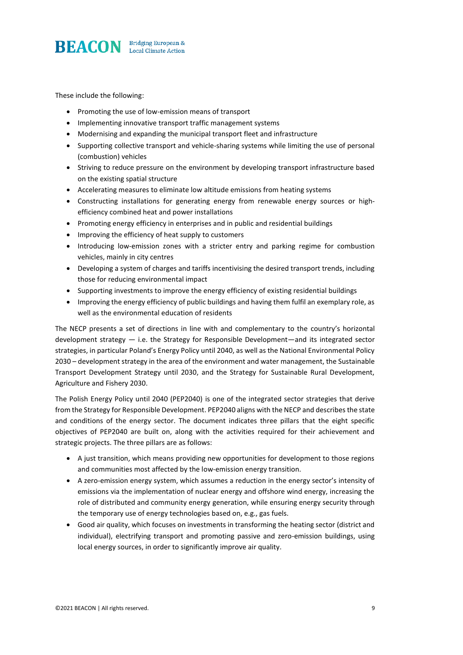

These include the following:

- Promoting the use of low-emission means of transport
- Implementing innovative transport traffic management systems
- Modernising and expanding the municipal transport fleet and infrastructure
- Supporting collective transport and vehicle-sharing systems while limiting the use of personal (combustion) vehicles
- Striving to reduce pressure on the environment by developing transport infrastructure based on the existing spatial structure
- Accelerating measures to eliminate low altitude emissions from heating systems
- Constructing installations for generating energy from renewable energy sources or highefficiency combined heat and power installations
- Promoting energy efficiency in enterprises and in public and residential buildings
- Improving the efficiency of heat supply to customers
- Introducing low-emission zones with a stricter entry and parking regime for combustion vehicles, mainly in city centres
- Developing a system of charges and tariffs incentivising the desired transport trends, including those for reducing environmental impact
- Supporting investments to improve the energy efficiency of existing residential buildings
- Improving the energy efficiency of public buildings and having them fulfil an exemplary role, as well as the environmental education of residents

The NECP presents a set of directions in line with and complementary to the country's horizontal development strategy — i.e. the Strategy for Responsible Development—and its integrated sector strategies, in particular Poland's Energy Policy until 2040, as well as the National Environmental Policy 2030 – development strategy in the area of the environment and water management, the Sustainable Transport Development Strategy until 2030, and the Strategy for Sustainable Rural Development, Agriculture and Fishery 2030.

The Polish Energy Policy until 2040 (PEP2040) is one of the integrated sector strategies that derive from the Strategy for Responsible Development. PEP2040 aligns with the NECP and describes the state and conditions of the energy sector. The document indicates three pillars that the eight specific objectives of PEP2040 are built on, along with the activities required for their achievement and strategic projects. The three pillars are as follows:

- A just transition, which means providing new opportunities for development to those regions and communities most affected by the low-emission energy transition.
- A zero-emission energy system, which assumes a reduction in the energy sector's intensity of emissions via the implementation of nuclear energy and offshore wind energy, increasing the role of distributed and community energy generation, while ensuring energy security through the temporary use of energy technologies based on, e.g., gas fuels.
- Good air quality, which focuses on investments in transforming the heating sector (district and individual), electrifying transport and promoting passive and zero-emission buildings, using local energy sources, in order to significantly improve air quality.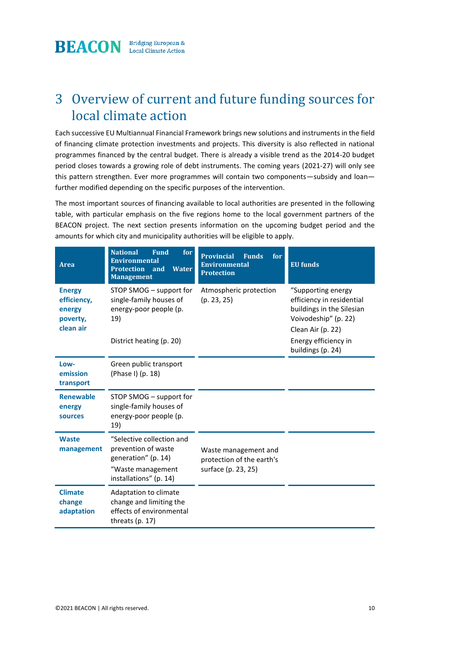**BEACON** Bridging European &

### 3 Overview of current and future funding sources for local climate action

Each successive EU Multiannual Financial Framework brings new solutions and instruments in the field of financing climate protection investments and projects. This diversity is also reflected in national programmes financed by the central budget. There is already a visible trend as the 2014-20 budget period closes towards a growing role of debt instruments. The coming years (2021-27) will only see this pattern strengthen. Ever more programmes will contain two components—subsidy and loan further modified depending on the specific purposes of the intervention.

The most important sources of financing available to local authorities are presented in the following table, with particular emphasis on the five regions home to the local government partners of the BEACON project. The next section presents information on the upcoming budget period and the amounts for which city and municipality authorities will be eligible to apply.

| <b>Area</b>                                                     | <b>National</b><br><b>Fund</b><br>for<br><b>Environmental</b><br><b>Protection</b><br><b>Water</b><br>and<br><b>Management</b> | <b>Provincial</b><br><b>Funds</b><br>for<br><b>Environmental</b><br><b>Protection</b> | <b>EU</b> funds                                                                                                                                   |
|-----------------------------------------------------------------|--------------------------------------------------------------------------------------------------------------------------------|---------------------------------------------------------------------------------------|---------------------------------------------------------------------------------------------------------------------------------------------------|
| <b>Energy</b><br>efficiency,<br>energy<br>poverty,<br>clean air | STOP SMOG - support for<br>single-family houses of<br>energy-poor people (p.<br>19)<br>District heating (p. 20)                | Atmospheric protection<br>(p. 23, 25)                                                 | "Supporting energy<br>efficiency in residential<br>buildings in the Silesian<br>Voivodeship" (p. 22)<br>Clean Air (p. 22)<br>Energy efficiency in |
| Low-<br>emission<br>transport                                   | Green public transport<br>(Phase I) (p. 18)                                                                                    |                                                                                       | buildings (p. 24)                                                                                                                                 |
| <b>Renewable</b><br>energy<br>sources                           | STOP SMOG – support for<br>single-family houses of<br>energy-poor people (p.<br>19)                                            |                                                                                       |                                                                                                                                                   |
| <b>Waste</b><br>management                                      | "Selective collection and<br>prevention of waste<br>generation" (p. 14)<br>"Waste management<br>installations" (p. 14)         | Waste management and<br>protection of the earth's<br>surface (p. 23, 25)              |                                                                                                                                                   |
| <b>Climate</b><br>change<br>adaptation                          | Adaptation to climate<br>change and limiting the<br>effects of environmental<br>threats $(p. 17)$                              |                                                                                       |                                                                                                                                                   |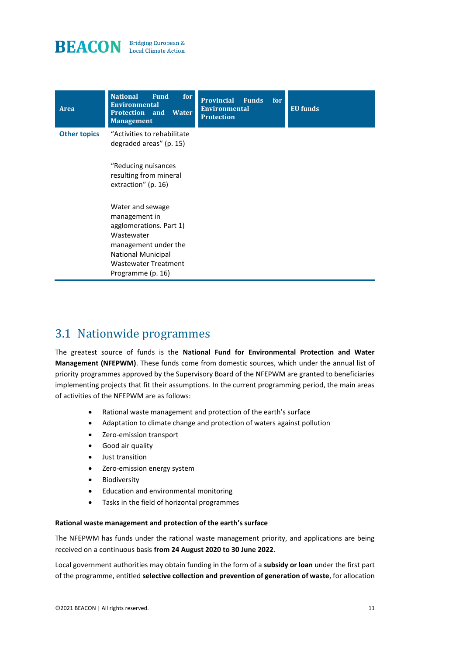



### 3.1 Nationwide programmes

The greatest source of funds is the **National Fund for Environmental Protection and Water Management (NFEPWM)**. These funds come from domestic sources, which under the annual list of priority programmes approved by the Supervisory Board of the NFEPWM are granted to beneficiaries implementing projects that fit their assumptions. In the current programming period, the main areas of activities of the NFEPWM are as follows:

- Rational waste management and protection of the earth's surface
- Adaptation to climate change and protection of waters against pollution
- Zero-emission transport
- Good air quality
- Just transition
- Zero-emission energy system
- **Biodiversity**
- Education and environmental monitoring
- Tasks in the field of horizontal programmes

#### **Rational waste management and protection of the earth's surface**

The NFEPWM has funds under the rational waste management priority, and applications are being received on a continuous basis **from 24 August 2020 to 30 June 2022**.

Local government authorities may obtain funding in the form of a **subsidy or loan** under the first part of the programme, entitled **selective collection and prevention of generation of waste**, for allocation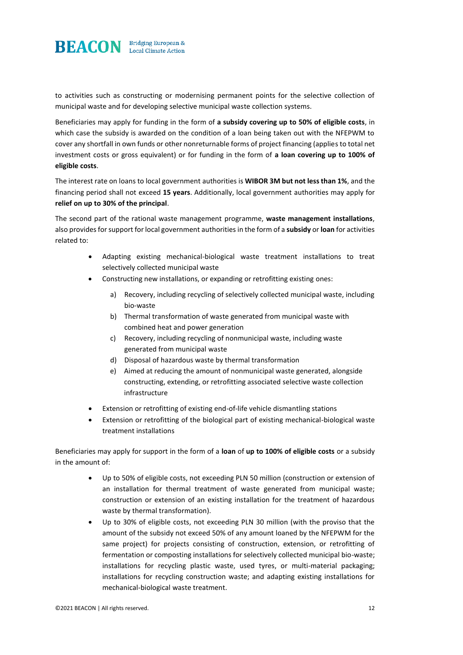

to activities such as constructing or modernising permanent points for the selective collection of municipal waste and for developing selective municipal waste collection systems.

Beneficiaries may apply for funding in the form of **a subsidy covering up to 50% of eligible costs**, in which case the subsidy is awarded on the condition of a loan being taken out with the NFEPWM to cover any shortfall in own funds or other nonreturnable forms of project financing (applies to total net investment costs or gross equivalent) or for funding in the form of **a loan covering up to 100% of eligible costs**.

The interest rate on loans to local government authorities is **WIBOR 3M but not less than 1%**, and the financing period shall not exceed **15 years**. Additionally, local government authorities may apply for **relief on up to 30% of the principal**.

The second part of the rational waste management programme, **waste management installations**, also provides for support for local government authorities in the form of a **subsidy** or **loan** for activities related to:

- Adapting existing mechanical-biological waste treatment installations to treat selectively collected municipal waste
- Constructing new installations, or expanding or retrofitting existing ones:
	- a) Recovery, including recycling of selectively collected municipal waste, including bio-waste
	- b) Thermal transformation of waste generated from municipal waste with combined heat and power generation
	- c) Recovery, including recycling of nonmunicipal waste, including waste generated from municipal waste
	- d) Disposal of hazardous waste by thermal transformation
	- e) Aimed at reducing the amount of nonmunicipal waste generated, alongside constructing, extending, or retrofitting associated selective waste collection infrastructure
- Extension or retrofitting of existing end-of-life vehicle dismantling stations
- Extension or retrofitting of the biological part of existing mechanical-biological waste treatment installations

Beneficiaries may apply for support in the form of a **loan** of **up to 100% of eligible costs** or a subsidy in the amount of:

- Up to 50% of eligible costs, not exceeding PLN 50 million (construction or extension of an installation for thermal treatment of waste generated from municipal waste; construction or extension of an existing installation for the treatment of hazardous waste by thermal transformation).
- Up to 30% of eligible costs, not exceeding PLN 30 million (with the proviso that the amount of the subsidy not exceed 50% of any amount loaned by the NFEPWM for the same project) for projects consisting of construction, extension, or retrofitting of fermentation or composting installations for selectively collected municipal bio-waste; installations for recycling plastic waste, used tyres, or multi-material packaging; installations for recycling construction waste; and adapting existing installations for mechanical-biological waste treatment.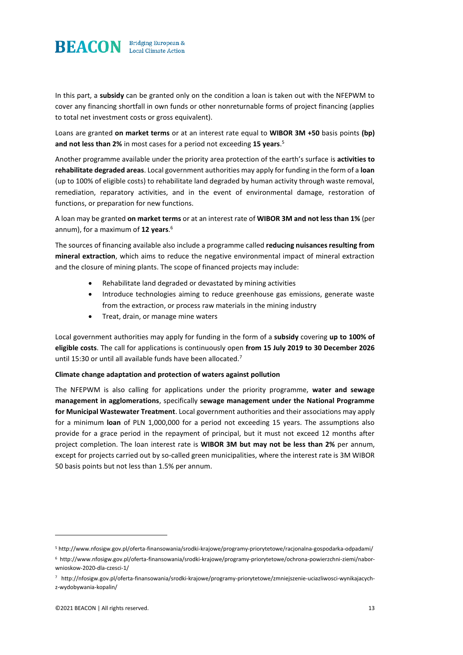

In this part, a **subsidy** can be granted only on the condition a loan is taken out with the NFEPWM to cover any financing shortfall in own funds or other nonreturnable forms of project financing (applies to total net investment costs or gross equivalent).

Loans are granted **on market terms** or at an interest rate equal to **WIBOR 3M +50** basis points **(bp) and not less than 2%** in most cases for a period not exceeding **15 years**. 5

Another programme available under the priority area protection of the earth's surface is **activities to rehabilitate degraded areas**. Local government authorities may apply for funding in the form of a **loan**  (up to 100% of eligible costs) to rehabilitate land degraded by human activity through waste removal, remediation, reparatory activities, and in the event of environmental damage, restoration of functions, or preparation for new functions.

A loan may be granted **on market terms** or at an interest rate of **WIBOR 3M and not less than 1%** (per annum), for a maximum of **12 years**. 6

The sources of financing available also include a programme called **reducing nuisances resulting from mineral extraction**, which aims to reduce the negative environmental impact of mineral extraction and the closure of mining plants. The scope of financed projects may include:

- Rehabilitate land degraded or devastated by mining activities
- Introduce technologies aiming to reduce greenhouse gas emissions, generate waste from the extraction, or process raw materials in the mining industry
- Treat, drain, or manage mine waters

Local government authorities may apply for funding in the form of a **subsidy** covering **up to 100% of eligible costs**. The call for applications is continuously open **from 15 July 2019 to 30 December 2026**  until 15:30 or until all available funds have been allocated.<sup>7</sup>

#### **Climate change adaptation and protection of waters against pollution**

The NFEPWM is also calling for applications under the priority programme, **water and sewage management in agglomerations**, specifically **sewage management under the National Programme for Municipal Wastewater Treatment**. Local government authorities and their associations may apply for a minimum **loan** of PLN 1,000,000 for a period not exceeding 15 years. The assumptions also provide for a grace period in the repayment of principal, but it must not exceed 12 months after project completion. The loan interest rate is **WIBOR 3M but may not be less than 2%** per annum, except for projects carried out by so-called green municipalities, where the interest rate is 3M WIBOR 50 basis points but not less than 1.5% per annum.

<sup>5</sup> http://www.nfosigw.gov.pl/oferta-finansowania/srodki-krajowe/programy-priorytetowe/racjonalna-gospodarka-odpadami/

<sup>6</sup> http://www.nfosigw.gov.pl/oferta-finansowania/srodki-krajowe/programy-priorytetowe/ochrona-powierzchni-ziemi/naborwnioskow-2020-dla-czesci-1/

<sup>7</sup> http://nfosigw.gov.pl/oferta-finansowania/srodki-krajowe/programy-priorytetowe/zmniejszenie-uciazliwosci-wynikajacychz-wydobywania-kopalin/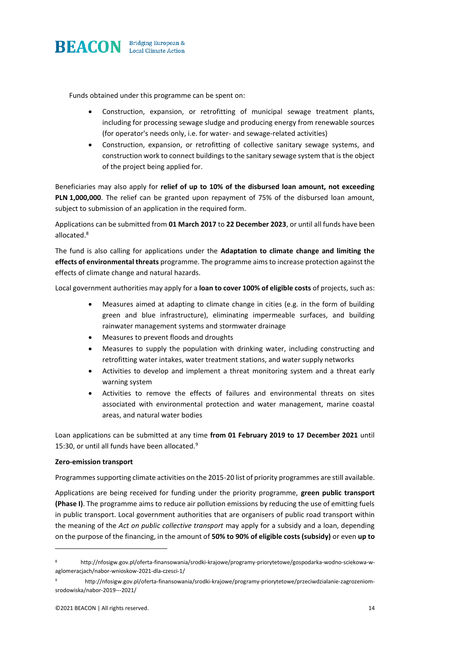

Funds obtained under this programme can be spent on:

- Construction, expansion, or retrofitting of municipal sewage treatment plants, including for processing sewage sludge and producing energy from renewable sources (for operator's needs only, i.e. for water- and sewage-related activities)
- Construction, expansion, or retrofitting of collective sanitary sewage systems, and construction work to connect buildings to the sanitary sewage system that is the object of the project being applied for.

Beneficiaries may also apply for **relief of up to 10% of the disbursed loan amount, not exceeding PLN 1,000,000**. The relief can be granted upon repayment of 75% of the disbursed loan amount, subject to submission of an application in the required form.

Applications can be submitted from **01 March 2017** to **22 December 2023**, or until all funds have been allocated.<sup>8</sup>

The fund is also calling for applications under the **Adaptation to climate change and limiting the effects of environmental threats** programme. The programme aims to increase protection against the effects of climate change and natural hazards.

Local government authorities may apply for a **loan to cover 100% of eligible costs** of projects, such as:

- Measures aimed at adapting to climate change in cities (e.g. in the form of building green and blue infrastructure), eliminating impermeable surfaces, and building rainwater management systems and stormwater drainage
- Measures to prevent floods and droughts
- Measures to supply the population with drinking water, including constructing and retrofitting water intakes, water treatment stations, and water supply networks
- Activities to develop and implement a threat monitoring system and a threat early warning system
- Activities to remove the effects of failures and environmental threats on sites associated with environmental protection and water management, marine coastal areas, and natural water bodies

Loan applications can be submitted at any time **from 01 February 2019 to 17 December 2021** until 15:30, or until all funds have been allocated.<sup>9</sup>

#### **Zero-emission transport**

Programmes supporting climate activities on the 2015-20 list of priority programmes are still available.

Applications are being received for funding under the priority programme, **green public transport (Phase I)**. The programme aims to reduce air pollution emissions by reducing the use of emitting fuels in public transport. Local government authorities that are organisers of public road transport within the meaning of the *Act on public collective transport* may apply for a subsidy and a loan, depending on the purpose of the financing, in the amount of **50% to 90% of eligible costs (subsidy)** or even **up to** 

<sup>8</sup> http://nfosigw.gov.pl/oferta-finansowania/srodki-krajowe/programy-priorytetowe/gospodarka-wodno-sciekowa-waglomeracjach/nabor-wnioskow-2021-dla-czesci-1/

http://nfosigw.gov.pl/oferta-finansowania/srodki-krajowe/programy-priorytetowe/przeciwdzialanie-zagrozeniomsrodowiska/nabor-2019---2021/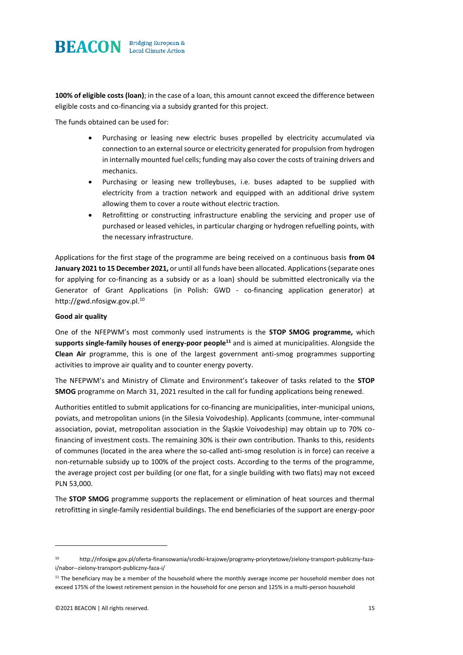

**100% of eligible costs (loan)**; in the case of a loan, this amount cannot exceed the difference between eligible costs and co-financing via a subsidy granted for this project.

The funds obtained can be used for:

- Purchasing or leasing new electric buses propelled by electricity accumulated via connection to an external source or electricity generated for propulsion from hydrogen in internally mounted fuel cells; funding may also cover the costs of training drivers and mechanics.
- Purchasing or leasing new trolleybuses, i.e. buses adapted to be supplied with electricity from a traction network and equipped with an additional drive system allowing them to cover a route without electric traction.
- Retrofitting or constructing infrastructure enabling the servicing and proper use of purchased or leased vehicles, in particular charging or hydrogen refuelling points, with the necessary infrastructure.

Applications for the first stage of the programme are being received on a continuous basis **from 04 January 2021 to 15 December 2021,** or until all funds have been allocated. Applications (separate ones for applying for co-financing as a subsidy or as a loan) should be submitted electronically via the Generator of Grant Applications (in Polish: GWD - co-financing application generator) at http://gwd.nfosigw.gov.pl.<sup>10</sup>

#### **Good air quality**

One of the NFEPWM's most commonly used instruments is the **STOP SMOG programme,** which **supports single-family houses of energy-poor people<sup>11</sup>** and is aimed at municipalities. Alongside the **Clean Air** programme, this is one of the largest government anti-smog programmes supporting activities to improve air quality and to counter energy poverty.

The NFEPWM's and Ministry of Climate and Environment's takeover of tasks related to the **STOP SMOG** programme on March 31, 2021 resulted in the call for funding applications being renewed.

Authorities entitled to submit applications for co-financing are municipalities, inter-municipal unions, poviats, and metropolitan unions (in the Silesia Voivodeship). Applicants (commune, inter-communal association, poviat, metropolitan association in the Śląskie Voivodeship) may obtain up to 70% cofinancing of investment costs. The remaining 30% is their own contribution. Thanks to this, residents of communes (located in the area where the so-called anti-smog resolution is in force) can receive a non-returnable subsidy up to 100% of the project costs. According to the terms of the programme, the average project cost per building (or one flat, for a single building with two flats) may not exceed PLN 53,000.

The **STOP SMOG** programme supports the replacement or elimination of heat sources and thermal retrofitting in single-family residential buildings. The end beneficiaries of the support are energy-poor

<sup>10</sup> http://nfosigw.gov.pl/oferta-finansowania/srodki-krajowe/programy-priorytetowe/zielony-transport-publiczny-fazai/nabor--zielony-transport-publiczny-faza-i/

<sup>&</sup>lt;sup>11</sup> The beneficiary may be a member of the household where the monthly average income per household member does not exceed 175% of the lowest retirement pension in the household for one person and 125% in a multi-person household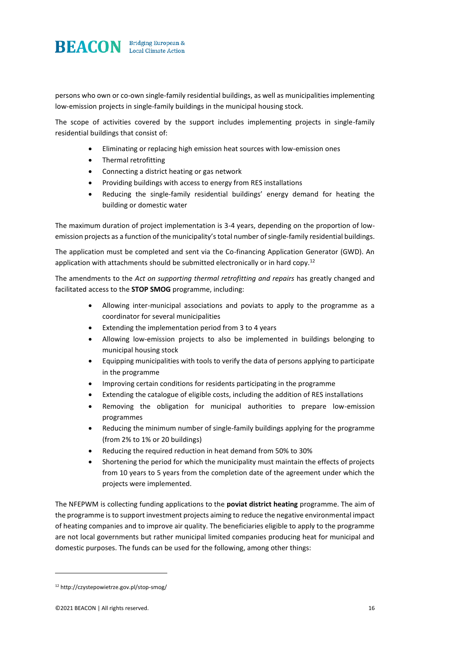

persons who own or co-own single-family residential buildings, as well as municipalities implementing low-emission projects in single-family buildings in the municipal housing stock.

The scope of activities covered by the support includes implementing projects in single-family residential buildings that consist of:

- Eliminating or replacing high emission heat sources with low-emission ones
- Thermal retrofitting
- Connecting a district heating or gas network
- Providing buildings with access to energy from RES installations
- Reducing the single-family residential buildings' energy demand for heating the building or domestic water

The maximum duration of project implementation is 3-4 years, depending on the proportion of lowemission projects as a function of the municipality's total number of single-family residential buildings.

The application must be completed and sent via the Co-financing Application Generator (GWD). An application with attachments should be submitted electronically or in hard copy.<sup>12</sup>

The amendments to the *Act on supporting thermal retrofitting and repairs* has greatly changed and facilitated access to the **STOP SMOG** programme, including:

- Allowing inter-municipal associations and poviats to apply to the programme as a coordinator for several municipalities
- Extending the implementation period from 3 to 4 years
- Allowing low-emission projects to also be implemented in buildings belonging to municipal housing stock
- Equipping municipalities with tools to verify the data of persons applying to participate in the programme
- Improving certain conditions for residents participating in the programme
- Extending the catalogue of eligible costs, including the addition of RES installations
- Removing the obligation for municipal authorities to prepare low-emission programmes
- Reducing the minimum number of single-family buildings applying for the programme (from 2% to 1% or 20 buildings)
- Reducing the required reduction in heat demand from 50% to 30%
- Shortening the period for which the municipality must maintain the effects of projects from 10 years to 5 years from the completion date of the agreement under which the projects were implemented.

The NFEPWM is collecting funding applications to the **poviat district heating** programme. The aim of the programme is to support investment projects aiming to reduce the negative environmental impact of heating companies and to improve air quality. The beneficiaries eligible to apply to the programme are not local governments but rather municipal limited companies producing heat for municipal and domestic purposes. The funds can be used for the following, among other things:

<sup>12</sup> http://czystepowietrze.gov.pl/stop-smog/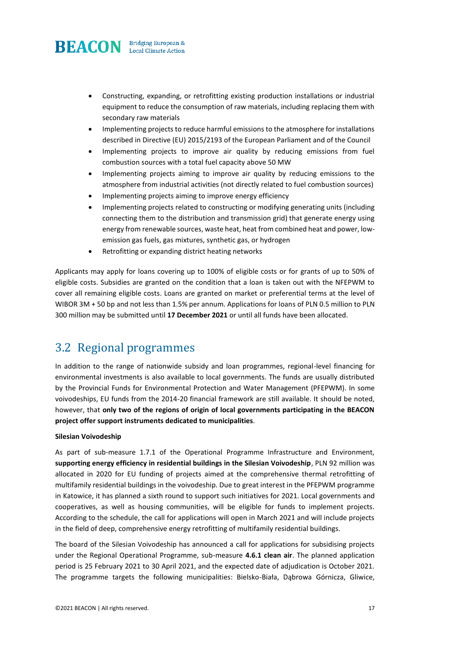

- Constructing, expanding, or retrofitting existing production installations or industrial equipment to reduce the consumption of raw materials, including replacing them with secondary raw materials
- Implementing projects to reduce harmful emissions to the atmosphere for installations described in Directive (EU) 2015/2193 of the European Parliament and of the Council
- Implementing projects to improve air quality by reducing emissions from fuel combustion sources with a total fuel capacity above 50 MW
- Implementing projects aiming to improve air quality by reducing emissions to the atmosphere from industrial activities (not directly related to fuel combustion sources)
- Implementing projects aiming to improve energy efficiency
- Implementing projects related to constructing or modifying generating units (including connecting them to the distribution and transmission grid) that generate energy using energy from renewable sources, waste heat, heat from combined heat and power, lowemission gas fuels, gas mixtures, synthetic gas, or hydrogen
- Retrofitting or expanding district heating networks

Applicants may apply for loans covering up to 100% of eligible costs or for grants of up to 50% of eligible costs. Subsidies are granted on the condition that a loan is taken out with the NFEPWM to cover all remaining eligible costs. Loans are granted on market or preferential terms at the level of WIBOR 3M + 50 bp and not less than 1.5% per annum. Applications for loans of PLN 0.5 million to PLN 300 million may be submitted until **17 December 2021** or until all funds have been allocated.

### 3.2 Regional programmes

In addition to the range of nationwide subsidy and loan programmes, regional-level financing for environmental investments is also available to local governments. The funds are usually distributed by the Provincial Funds for Environmental Protection and Water Management (PFEPWM). In some voivodeships, EU funds from the 2014-20 financial framework are still available. It should be noted, however, that **only two of the regions of origin of local governments participating in the BEACON project offer support instruments dedicated to municipalities**.

#### **Silesian Voivodeship**

As part of sub-measure 1.7.1 of the Operational Programme Infrastructure and Environment, **supporting energy efficiency in residential buildings in the Silesian Voivodeship**, PLN 92 million was allocated in 2020 for EU funding of projects aimed at the comprehensive thermal retrofitting of multifamily residential buildings in the voivodeship. Due to great interest in the PFEPWM programme in Katowice, it has planned a sixth round to support such initiatives for 2021. Local governments and cooperatives, as well as housing communities, will be eligible for funds to implement projects. According to the schedule, the call for applications will open in March 2021 and will include projects in the field of deep, comprehensive energy retrofitting of multifamily residential buildings.

The board of the Silesian Voivodeship has announced a call for applications for subsidising projects under the Regional Operational Programme, sub-measure **4.6.1 clean air**. The planned application period is 25 February 2021 to 30 April 2021, and the expected date of adjudication is October 2021. The programme targets the following municipalities: Bielsko-Biała, Dąbrowa Górnicza, Gliwice,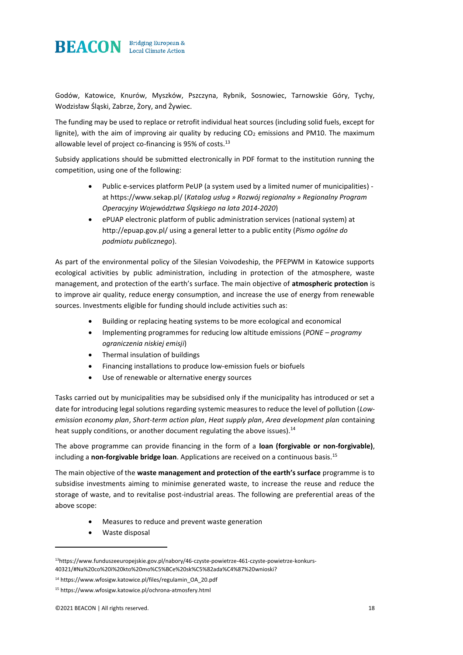

Godów, Katowice, Knurów, Myszków, Pszczyna, Rybnik, Sosnowiec, Tarnowskie Góry, Tychy, Wodzisław Śląski, Zabrze, Żory, and Żywiec.

The funding may be used to replace or retrofit individual heat sources (including solid fuels, except for lignite), with the aim of improving air quality by reducing  $CO<sub>2</sub>$  emissions and PM10. The maximum allowable level of project co-financing is 95% of costs.<sup>13</sup>

Subsidy applications should be submitted electronically in PDF format to the institution running the competition, using one of the following:

- Public e-services platform PeUP (a system used by a limited numer of municipalities) at https://www.sekap.pl/ (*Katalog usług » Rozwój regionalny » Regionalny Program Operacyjny Województwa Śląskiego na lata 2014-2020*)
- ePUAP electronic platform of public administration services (national system) at http://epuap.gov.pl/ using a general letter to a public entity (*Pismo ogólne do podmiotu publicznego*).

As part of the environmental policy of the Silesian Voivodeship, the PFEPWM in Katowice supports ecological activities by public administration, including in protection of the atmosphere, waste management, and protection of the earth's surface. The main objective of **atmospheric protection** is to improve air quality, reduce energy consumption, and increase the use of energy from renewable sources. Investments eligible for funding should include activities such as:

- Building or replacing heating systems to be more ecological and economical
- Implementing programmes for reducing low altitude emissions (*PONE – programy ograniczenia niskiej emisji*)
- Thermal insulation of buildings
- Financing installations to produce low-emission fuels or biofuels
- Use of renewable or alternative energy sources

Tasks carried out by municipalities may be subsidised only if the municipality has introduced or set a date for introducing legal solutions regarding systemic measures to reduce the level of pollution (*Lowemission economy plan*, *Short-term action plan*, *Heat supply plan*, *Area development plan* containing heat supply conditions, or another document regulating the above issues).<sup>14</sup>

The above programme can provide financing in the form of a **loan (forgivable or non-forgivable)**, including a **non-forgivable bridge loan**. Applications are received on a continuous basis.<sup>15</sup>

The main objective of the **waste management and protection of the earth's surface** programme is to subsidise investments aiming to minimise generated waste, to increase the reuse and reduce the storage of waste, and to revitalise post-industrial areas. The following are preferential areas of the above scope:

- Measures to reduce and prevent waste generation
- Waste disposal

<sup>13</sup>https://www.funduszeeuropejskie.gov.pl/nabory/46-czyste-powietrze-461-czyste-powietrze-konkurs-40321/#Na%20co%20i%20kto%20mo%C5%BCe%20sk%C5%82ada%C4%87%20wnioski?

<sup>14</sup> https://www.wfosigw.katowice.pl/files/regulamin\_OA\_20.pdf

<sup>15</sup> https://www.wfosigw.katowice.pl/ochrona-atmosfery.html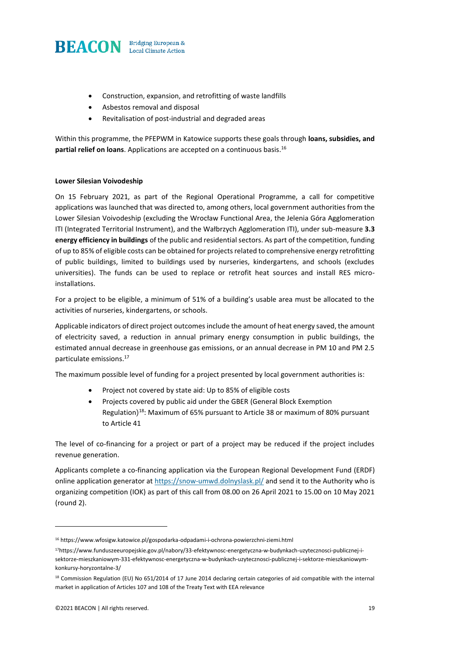

- Construction, expansion, and retrofitting of waste landfills
- Asbestos removal and disposal
- Revitalisation of post-industrial and degraded areas

Within this programme, the PFEPWM in Katowice supports these goals through **loans, subsidies, and partial relief on loans**. Applications are accepted on a continuous basis.<sup>16</sup>

#### **Lower Silesian Voivodeship**

On 15 February 2021, as part of the Regional Operational Programme, a call for competitive applications was launched that was directed to, among others, local government authorities from the Lower Silesian Voivodeship (excluding the Wrocław Functional Area, the Jelenia Góra Agglomeration ITI (Integrated Territorial Instrument), and the Wałbrzych Agglomeration ITI), under sub-measure **3.3 energy efficiency in buildings** of the public and residential sectors. As part of the competition, funding of up to 85% of eligible costs can be obtained for projects related to comprehensive energy retrofitting of public buildings, limited to buildings used by nurseries, kindergartens, and schools (excludes universities). The funds can be used to replace or retrofit heat sources and install RES microinstallations.

For a project to be eligible, a minimum of 51% of a building's usable area must be allocated to the activities of nurseries, kindergartens, or schools.

Applicable indicators of direct project outcomes include the amount of heat energy saved, the amount of electricity saved, a reduction in annual primary energy consumption in public buildings, the estimated annual decrease in greenhouse gas emissions, or an annual decrease in PM 10 and PM 2.5 particulate emissions.<sup>17</sup>

The maximum possible level of funding for a project presented by local government authorities is:

- Project not covered by state aid: Up to 85% of eligible costs
- Projects covered by public aid under the GBER (General Block Exemption Regulation) <sup>18</sup>: Maximum of 65% pursuant to Article 38 or maximum of 80% pursuant to Article 41

The level of co-financing for a project or part of a project may be reduced if the project includes revenue generation.

Applicants complete a co-financing application via the European Regional Development Fund (ERDF) online application generator at https://snow-umwd.dolnyslask.pl/ and send it to the Authority who is organizing competition (IOK) as part of this call from 08.00 on 26 April 2021 to 15.00 on 10 May 2021 (round 2).

 $^{16}$ https://www.wfosigw.katowice.pl/gospodarka-odpadami-i-ochrona-powierzchni-ziemi.html

<sup>17</sup>https://www.funduszeeuropejskie.gov.pl/nabory/33-efektywnosc-energetyczna-w-budynkach-uzytecznosci-publicznej-isektorze-mieszkaniowym-331-efektywnosc-energetyczna-w-budynkach-uzytecznosci-publicznej-i-sektorze-mieszkaniowymkonkursy-horyzontalne-3/

<sup>18</sup> Commission Regulation (EU) No 651/2014 of 17 June 2014 declaring certain categories of aid compatible with the internal market in application of Articles 107 and 108 of the Treaty Text with EEA relevance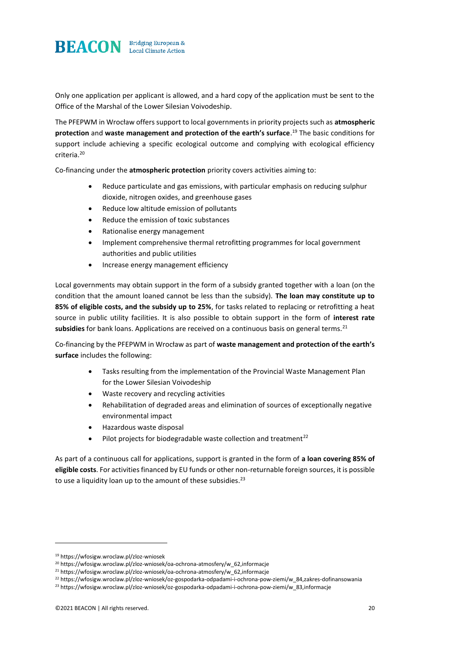

Only one application per applicant is allowed, and a hard copy of the application must be sent to the Office of the Marshal of the Lower Silesian Voivodeship.

The PFEPWM in Wrocław offers support to local governments in priority projects such as **atmospheric protection** and **waste management and protection of the earth's surface**. <sup>19</sup> The basic conditions for support include achieving a specific ecological outcome and complying with ecological efficiency criteria.<sup>20</sup>

Co-financing under the **atmospheric protection** priority covers activities aiming to:

- Reduce particulate and gas emissions, with particular emphasis on reducing sulphur dioxide, nitrogen oxides, and greenhouse gases
- Reduce low altitude emission of pollutants
- Reduce the emission of toxic substances
- Rationalise energy management
- Implement comprehensive thermal retrofitting programmes for local government authorities and public utilities
- Increase energy management efficiency

Local governments may obtain support in the form of a subsidy granted together with a loan (on the condition that the amount loaned cannot be less than the subsidy). **The loan may constitute up to 85% of eligible costs, and the subsidy up to 25%**, for tasks related to replacing or retrofitting a heat source in public utility facilities. It is also possible to obtain support in the form of **interest rate**  subsidies for bank loans. Applications are received on a continuous basis on general terms.<sup>21</sup>

Co-financing by the PFEPWM in Wrocław as part of **waste management and protection of the earth's surface** includes the following:

- Tasks resulting from the implementation of the Provincial Waste Management Plan for the Lower Silesian Voivodeship
- Waste recovery and recycling activities
- Rehabilitation of degraded areas and elimination of sources of exceptionally negative environmental impact
- Hazardous waste disposal
- Pilot projects for biodegradable waste collection and treatment $^{22}$

As part of a continuous call for applications, support is granted in the form of **a loan covering 85% of eligible costs**. For activities financed by EU funds or other non-returnable foreign sources, it is possible to use a liquidity loan up to the amount of these subsidies. $23$ 

<sup>19</sup> https://wfosigw.wroclaw.pl/zloz-wniosek

<sup>&</sup>lt;sup>20</sup> https://wfosigw.wroclaw.pl/zloz-wniosek/oa-ochrona-atmosfery/w\_62,informacje

<sup>&</sup>lt;sup>21</sup> https://wfosigw.wroclaw.pl/zloz-wniosek/oa-ochrona-atmosfery/w\_62,informacje

<sup>22</sup> https://wfosigw.wroclaw.pl/zloz-wniosek/oz-gospodarka-odpadami-i-ochrona-pow-ziemi/w\_84,zakres-dofinansowania

<sup>23</sup> https://wfosigw.wroclaw.pl/zloz-wniosek/oz-gospodarka-odpadami-i-ochrona-pow-ziemi/w\_83,informacje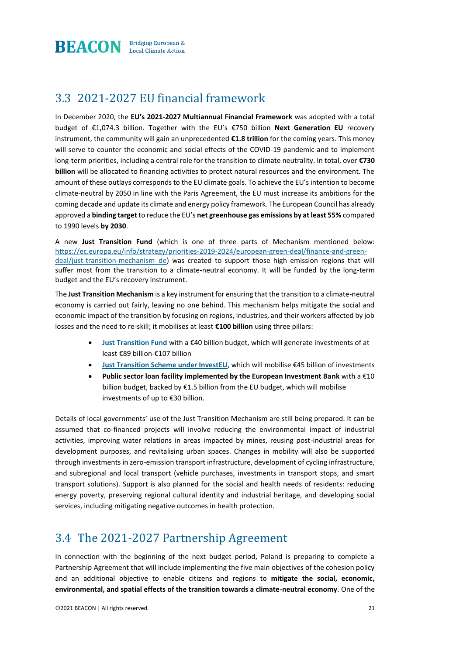

### 3.3 2021-2027 EU financial framework

In December 2020, the **EU's 2021-2027 Multiannual Financial Framework** was adopted with a total budget of €1,074.3 billion. Together with the EU's €750 billion **Next Generation EU** recovery instrument, the community will gain an unprecedented **€1.8 trillion** for the coming years. This money will serve to counter the economic and social effects of the COVID-19 pandemic and to implement long-term priorities, including a central role for the transition to climate neutrality. In total, over **€730 billion** will be allocated to financing activities to protect natural resources and the environment. The amount of these outlays corresponds to the EU climate goals. To achieve the EU's intention to become climate-neutral by 2050 in line with the Paris Agreement, the EU must increase its ambitions for the coming decade and update its climate and energy policy framework. The European Council has already approved a **binding target** to reduce the EU's **net greenhouse gas emissions by at least 55%** compared to 1990 levels **by 2030**.

A new **Just Transition Fund** (which is one of three parts of Mechanism mentioned below: [https://ec.europa.eu/info/strategy/priorities-2019-2024/european-green-deal/finance-and-green](https://ec.europa.eu/info/strategy/priorities-2019-2024/european-green-deal/finance-and-green-deal/just-transition-mechanism_de)[deal/just-transition-mechanism\\_de\)](https://ec.europa.eu/info/strategy/priorities-2019-2024/european-green-deal/finance-and-green-deal/just-transition-mechanism_de) was created to support those high emission regions that will suffer most from the transition to a climate-neutral economy. It will be funded by the long-term budget and the EU's recovery instrument.

The **Just Transition Mechanism** is a key instrument for ensuring that the transition to a climate-neutral economy is carried out fairly, leaving no one behind. This mechanism helps mitigate the social and economic impact of the transition by focusing on regions, industries, and their workers affected by job losses and the need to re-skill; it mobilises at least **€100 billion** using three pillars:

- **[Just Transition Fund](about:blank)** with a €40 billion budget, which will generate investments of at least €89 billion-€107 billion
- **[Just Transition Scheme under InvestEU](about:blank)**, which will mobilise €45 billion of investments
- **Public sector loan facility implemented by the European Investment Bank** with a €10 billion budget, backed by €1.5 billion from the EU budget, which will mobilise investments of up to €30 billion.

Details of local governments' use of the Just Transition Mechanism are still being prepared. It can be assumed that co-financed projects will involve reducing the environmental impact of industrial activities, improving water relations in areas impacted by mines, reusing post-industrial areas for development purposes, and revitalising urban spaces. Changes in mobility will also be supported through investments in zero-emission transport infrastructure, development of cycling infrastructure, and subregional and local transport (vehicle purchases, investments in transport stops, and smart transport solutions). Support is also planned for the social and health needs of residents: reducing energy poverty, preserving regional cultural identity and industrial heritage, and developing social services, including mitigating negative outcomes in health protection.

### 3.4 The 2021-2027 Partnership Agreement

In connection with the beginning of the next budget period, Poland is preparing to complete a Partnership Agreement that will include implementing the five main objectives of the cohesion policy and an additional objective to enable citizens and regions to **mitigate the social, economic, environmental, and spatial effects of the transition towards a climate-neutral economy**. One of the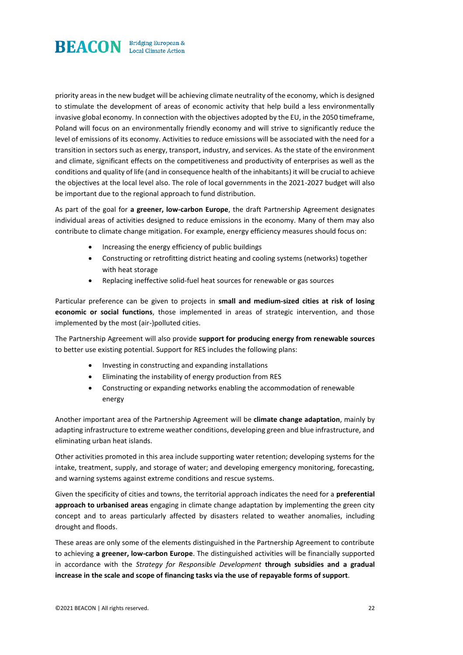

priority areas in the new budget will be achieving climate neutrality of the economy, which is designed to stimulate the development of areas of economic activity that help build a less environmentally invasive global economy. In connection with the objectives adopted by the EU, in the 2050 timeframe, Poland will focus on an environmentally friendly economy and will strive to significantly reduce the level of emissions of its economy. Activities to reduce emissions will be associated with the need for a transition in sectors such as energy, transport, industry, and services. As the state of the environment and climate, significant effects on the competitiveness and productivity of enterprises as well as the conditions and quality of life (and in consequence health of the inhabitants) it will be crucial to achieve the objectives at the local level also. The role of local governments in the 2021-2027 budget will also be important due to the regional approach to fund distribution.

As part of the goal for **a greener, low-carbon Europe**, the draft Partnership Agreement designates individual areas of activities designed to reduce emissions in the economy. Many of them may also contribute to climate change mitigation. For example, energy efficiency measures should focus on:

- Increasing the energy efficiency of public buildings
- Constructing or retrofitting district heating and cooling systems (networks) together with heat storage
- Replacing ineffective solid-fuel heat sources for renewable or gas sources

Particular preference can be given to projects in **small and medium-sized cities at risk of losing economic or social functions**, those implemented in areas of strategic intervention, and those implemented by the most (air-)polluted cities.

The Partnership Agreement will also provide **support for producing energy from renewable sources**  to better use existing potential. Support for RES includes the following plans:

- Investing in constructing and expanding installations
- Eliminating the instability of energy production from RES
- Constructing or expanding networks enabling the accommodation of renewable energy

Another important area of the Partnership Agreement will be **climate change adaptation**, mainly by adapting infrastructure to extreme weather conditions, developing green and blue infrastructure, and eliminating urban heat islands.

Other activities promoted in this area include supporting water retention; developing systems for the intake, treatment, supply, and storage of water; and developing emergency monitoring, forecasting, and warning systems against extreme conditions and rescue systems.

Given the specificity of cities and towns, the territorial approach indicates the need for a **preferential approach to urbanised areas** engaging in climate change adaptation by implementing the green city concept and to areas particularly affected by disasters related to weather anomalies, including drought and floods.

These areas are only some of the elements distinguished in the Partnership Agreement to contribute to achieving **a greener, low-carbon Europe**. The distinguished activities will be financially supported in accordance with the *Strategy for Responsible Development* **through subsidies and a gradual increase in the scale and scope of financing tasks via the use of repayable forms of support**.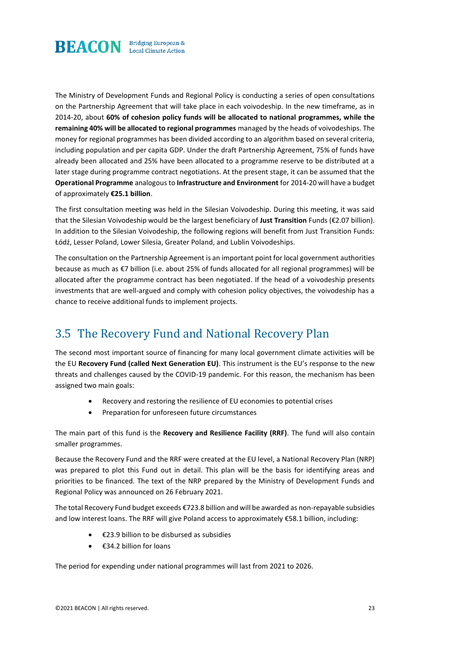

The Ministry of Development Funds and Regional Policy is conducting a series of open consultations on the Partnership Agreement that will take place in each voivodeship. In the new timeframe, as in 2014-20, about **60% of cohesion policy funds will be allocated to national programmes, while the remaining 40% will be allocated to regional programmes** managed by the heads of voivodeships. The money for regional programmes has been divided according to an algorithm based on several criteria, including population and per capita GDP. Under the draft Partnership Agreement, 75% of funds have already been allocated and 25% have been allocated to a programme reserve to be distributed at a later stage during programme contract negotiations. At the present stage, it can be assumed that the **Operational Programme** analogous to **Infrastructure and Environment** for 2014-20 will have a budget of approximately **€25.1 billion**.

The first consultation meeting was held in the Silesian Voivodeship. During this meeting, it was said that the Silesian Voivodeship would be the largest beneficiary of **Just Transition** Funds (€2.07 billion). In addition to the Silesian Voivodeship, the following regions will benefit from Just Transition Funds: Łódź, Lesser Poland, Lower Silesia, Greater Poland, and Lublin Voivodeships.

The consultation on the Partnership Agreement is an important point for local government authorities because as much as €7 billion (i.e. about 25% of funds allocated for all regional programmes) will be allocated after the programme contract has been negotiated. If the head of a voivodeship presents investments that are well-argued and comply with cohesion policy objectives, the voivodeship has a chance to receive additional funds to implement projects.

### 3.5 The Recovery Fund and National Recovery Plan

The second most important source of financing for many local government climate activities will be the EU **Recovery Fund (called Next Generation EU)**. This instrument is the EU's response to the new threats and challenges caused by the COVID-19 pandemic. For this reason, the mechanism has been assigned two main goals:

- Recovery and restoring the resilience of EU economies to potential crises
- Preparation for unforeseen future circumstances

The main part of this fund is the **Recovery and Resilience Facility (RRF)**. The fund will also contain smaller programmes.

Because the Recovery Fund and the RRF were created at the EU level, a National Recovery Plan (NRP) was prepared to plot this Fund out in detail. This plan will be the basis for identifying areas and priorities to be financed. The text of the NRP prepared by the Ministry of Development Funds and Regional Policy was announced on 26 February 2021.

The total Recovery Fund budget exceeds €723.8 billion and will be awarded as non-repayable subsidies and low interest loans. The RRF will give Poland access to approximately €58.1 billion, including:

- €23.9 billion to be disbursed as subsidies
- $\bullet$   $\epsilon$ 34.2 billion for loans

The period for expending under national programmes will last from 2021 to 2026.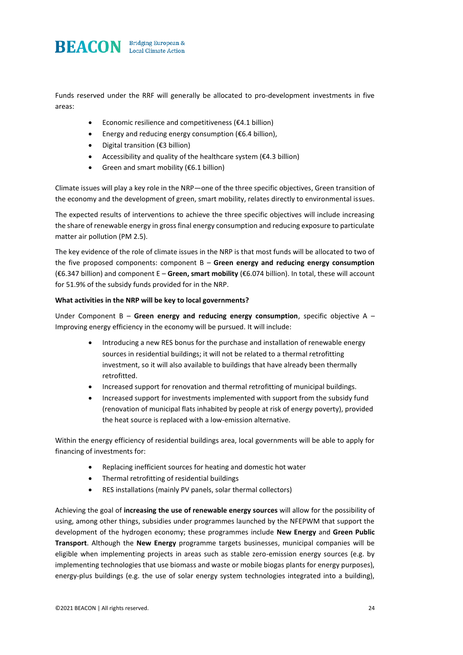

Funds reserved under the RRF will generally be allocated to pro-development investments in five areas:

- Economic resilience and competitiveness ( $E4.1$  billion)
- Energy and reducing energy consumption ( $\epsilon$ 6.4 billion),
- Digital transition (€3 billion)
- Accessibility and quality of the healthcare system ( $E4.3$  billion)
- Green and smart mobility ( $\epsilon$ 6.1 billion)

Climate issues will play a key role in the NRP—one of the three specific objectives, Green transition of the economy and the development of green, smart mobility, relates directly to environmental issues.

The expected results of interventions to achieve the three specific objectives will include increasing the share of renewable energy in gross final energy consumption and reducing exposure to particulate matter air pollution (PM 2.5).

The key evidence of the role of climate issues in the NRP is that most funds will be allocated to two of the five proposed components: component B – **Green energy and reducing energy consumption**  (€6.347 billion) and component E – **Green, smart mobility** (€6.074 billion). In total, these will account for 51.9% of the subsidy funds provided for in the NRP.

#### **What activities in the NRP will be key to local governments?**

Under Component B – **Green energy and reducing energy consumption**, specific objective A – Improving energy efficiency in the economy will be pursued. It will include:

- Introducing a new RES bonus for the purchase and installation of renewable energy sources in residential buildings; it will not be related to a thermal retrofitting investment, so it will also available to buildings that have already been thermally retrofitted.
- Increased support for renovation and thermal retrofitting of municipal buildings.
- Increased support for investments implemented with support from the subsidy fund (renovation of municipal flats inhabited by people at risk of energy poverty), provided the heat source is replaced with a low-emission alternative.

Within the energy efficiency of residential buildings area, local governments will be able to apply for financing of investments for:

- Replacing inefficient sources for heating and domestic hot water
- Thermal retrofitting of residential buildings
- RES installations (mainly PV panels, solar thermal collectors)

Achieving the goal of **increasing the use of renewable energy sources** will allow for the possibility of using, among other things, subsidies under programmes launched by the NFEPWM that support the development of the hydrogen economy; these programmes include **New Energy** and **Green Public Transport**. Although the **New Energy** programme targets businesses, municipal companies will be eligible when implementing projects in areas such as stable zero-emission energy sources (e.g. by implementing technologies that use biomass and waste or mobile biogas plants for energy purposes), energy-plus buildings (e.g. the use of solar energy system technologies integrated into a building),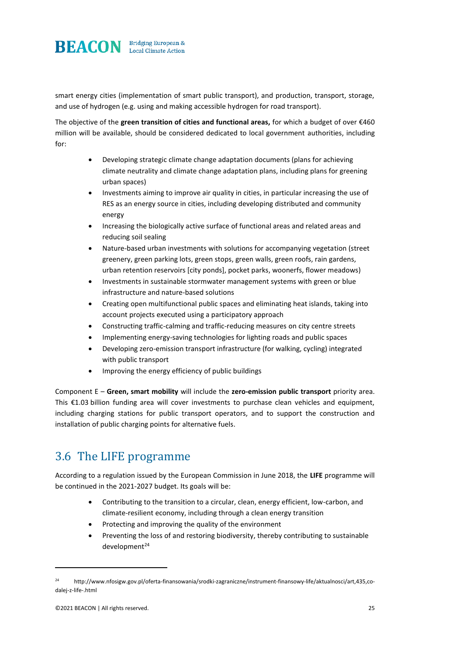

smart energy cities (implementation of smart public transport), and production, transport, storage, and use of hydrogen (e.g. using and making accessible hydrogen for road transport).

The objective of the **green transition of cities and functional areas,** for which a budget of over €460 million will be available, should be considered dedicated to local government authorities, including for:

- Developing strategic climate change adaptation documents (plans for achieving climate neutrality and climate change adaptation plans, including plans for greening urban spaces)
- Investments aiming to improve air quality in cities, in particular increasing the use of RES as an energy source in cities, including developing distributed and community energy
- Increasing the biologically active surface of functional areas and related areas and reducing soil sealing
- Nature-based urban investments with solutions for accompanying vegetation (street greenery, green parking lots, green stops, green walls, green roofs, rain gardens, urban retention reservoirs [city ponds], pocket parks, woonerfs, flower meadows)
- Investments in sustainable stormwater management systems with green or blue infrastructure and nature-based solutions
- Creating open multifunctional public spaces and eliminating heat islands, taking into account projects executed using a participatory approach
- Constructing traffic-calming and traffic-reducing measures on city centre streets
- Implementing energy-saving technologies for lighting roads and public spaces
- Developing zero-emission transport infrastructure (for walking, cycling) integrated with public transport
- Improving the energy efficiency of public buildings

Component E – **Green, smart mobility** will include the **zero-emission public transport** priority area. This €1.03 billion funding area will cover investments to purchase clean vehicles and equipment, including charging stations for public transport operators, and to support the construction and installation of public charging points for alternative fuels.

### 3.6 The LIFE programme

According to a regulation issued by the European Commission in June 2018, the **LIFE** programme will be continued in the 2021-2027 budget. Its goals will be:

- Contributing to the transition to a circular, clean, energy efficient, low-carbon, and climate-resilient economy, including through a clean energy transition
- Protecting and improving the quality of the environment
- Preventing the loss of and restoring biodiversity, thereby contributing to sustainable  $d$ evelopment<sup>24</sup>

<sup>24</sup> http://www.nfosigw.gov.pl/oferta-finansowania/srodki-zagraniczne/instrument-finansowy-life/aktualnosci/art,435,codalej-z-life-.html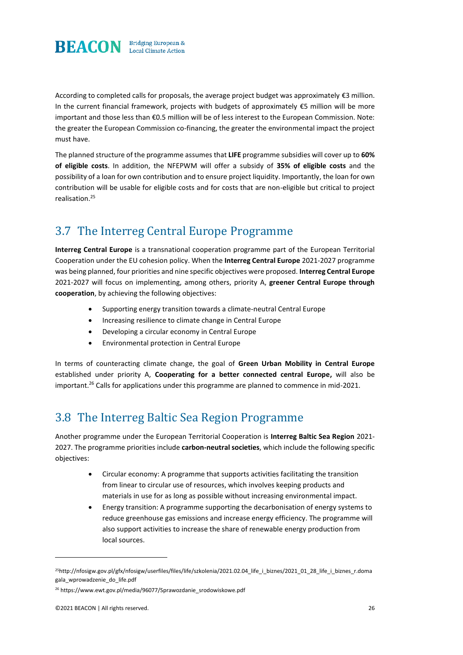

According to completed calls for proposals, the average project budget was approximately €3 million. In the current financial framework, projects with budgets of approximately €5 million will be more important and those less than €0.5 million will be of less interest to the European Commission. Note: the greater the European Commission co-financing, the greater the environmental impact the project must have.

The planned structure of the programme assumes that **LIFE** programme subsidies will cover up to **60% of eligible costs**. In addition, the NFEPWM will offer a subsidy of **35% of eligible costs** and the possibility of a loan for own contribution and to ensure project liquidity. Importantly, the loan for own contribution will be usable for eligible costs and for costs that are non-eligible but critical to project realisation.<sup>25</sup>

### 3.7 The Interreg Central Europe Programme

**Interreg Central Europe** is a transnational cooperation programme part of the European Territorial Cooperation under the EU cohesion policy. When the **Interreg Central Europe** 2021-2027 programme was being planned, four priorities and nine specific objectives were proposed. **Interreg Central Europe**  2021-2027 will focus on implementing, among others, priority A, **greener Central Europe through cooperation**, by achieving the following objectives:

- Supporting energy transition towards a climate-neutral Central Europe
- Increasing resilience to climate change in Central Europe
- Developing a circular economy in Central Europe
- Environmental protection in Central Europe

In terms of counteracting climate change, the goal of **Green Urban Mobility in Central Europe** established under priority A, **Cooperating for a better connected central Europe,** will also be important.<sup>26</sup> Calls for applications under this programme are planned to commence in mid-2021.

### 3.8 The Interreg Baltic Sea Region Programme

Another programme under the European Territorial Cooperation is **Interreg Baltic Sea Region** 2021- 2027. The programme priorities include **carbon-neutral societies**, which include the following specific objectives:

- Circular economy: A programme that supports activities facilitating the transition from linear to circular use of resources, which involves keeping products and materials in use for as long as possible without increasing environmental impact.
- Energy transition: A programme supporting the decarbonisation of energy systems to reduce greenhouse gas emissions and increase energy efficiency. The programme will also support activities to increase the share of renewable energy production from local sources.

<sup>25</sup>http://nfosigw.gov.pl/gfx/nfosigw/userfiles/files/life/szkolenia/2021.02.04\_life\_i\_biznes/2021\_01\_28\_life\_i\_biznes\_r.doma gala\_wprowadzenie\_do\_life.pdf

<sup>26</sup> https://www.ewt.gov.pl/media/96077/Sprawozdanie\_srodowiskowe.pdf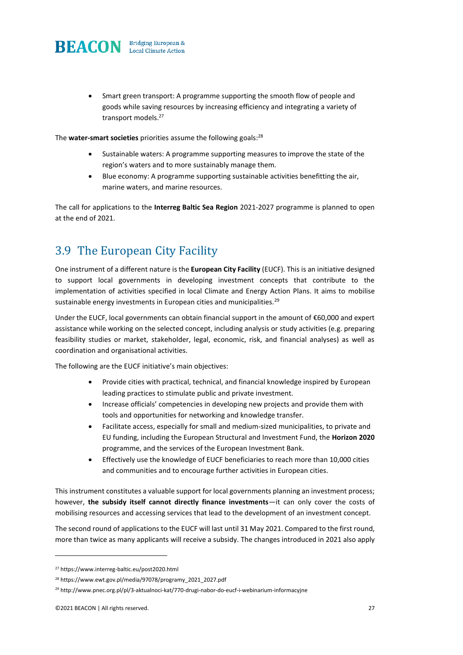

• Smart green transport: A programme supporting the smooth flow of people and goods while saving resources by increasing efficiency and integrating a variety of transport models.<sup>27</sup>

The **water-smart societies** priorities assume the following goals:<sup>28</sup>

- Sustainable waters: A programme supporting measures to improve the state of the region's waters and to more sustainably manage them.
- Blue economy: A programme supporting sustainable activities benefitting the air, marine waters, and marine resources.

The call for applications to the **Interreg Baltic Sea Region** 2021-2027 programme is planned to open at the end of 2021.

### 3.9 The European City Facility

One instrument of a different nature is the **European City Facility** (EUCF). This is an initiative designed to support local governments in developing investment concepts that contribute to the implementation of activities specified in local Climate and Energy Action Plans. It aims to mobilise sustainable energy investments in European cities and municipalities.<sup>29</sup>

Under the EUCF, local governments can obtain financial support in the amount of €60,000 and expert assistance while working on the selected concept, including analysis or study activities (e.g. preparing feasibility studies or market, stakeholder, legal, economic, risk, and financial analyses) as well as coordination and organisational activities.

The following are the EUCF initiative's main objectives:

- Provide cities with practical, technical, and financial knowledge inspired by European leading practices to stimulate public and private investment.
- Increase officials' competencies in developing new projects and provide them with tools and opportunities for networking and knowledge transfer.
- Facilitate access, especially for small and medium-sized municipalities, to private and EU funding, including the European Structural and Investment Fund, the **Horizon 2020** programme, and the services of the European Investment Bank.
- Effectively use the knowledge of EUCF beneficiaries to reach more than 10,000 cities and communities and to encourage further activities in European cities.

This instrument constitutes a valuable support for local governments planning an investment process; however, **the subsidy itself cannot directly finance investments**—it can only cover the costs of mobilising resources and accessing services that lead to the development of an investment concept.

The second round of applications to the EUCF will last until 31 May 2021. Compared to the first round, more than twice as many applicants will receive a subsidy. The changes introduced in 2021 also apply

<sup>27</sup> https://www.interreg-baltic.eu/post2020.html

<sup>28</sup> https://www.ewt.gov.pl/media/97078/programy\_2021\_2027.pdf

<sup>&</sup>lt;sup>29</sup> http://www.pnec.org.pl/pl/3-aktualnoci-kat/770-drugi-nabor-do-eucf-i-webinarium-informacyjne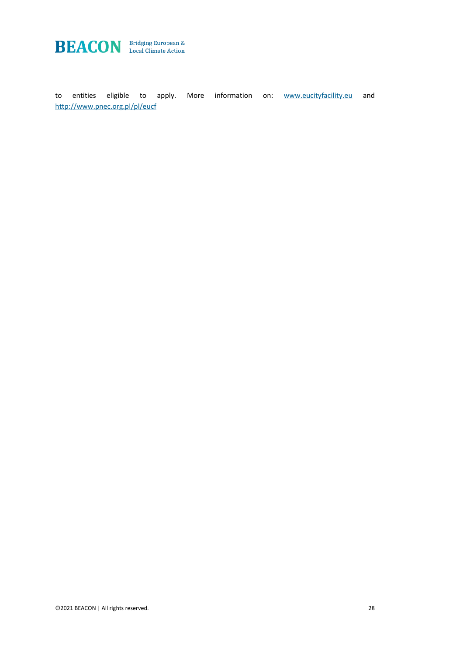

to entities eligible to apply. More information on: **[www.eucityfacility.eu](http://www.eucityfacility.eu/)** and <http://www.pnec.org.pl/pl/eucf>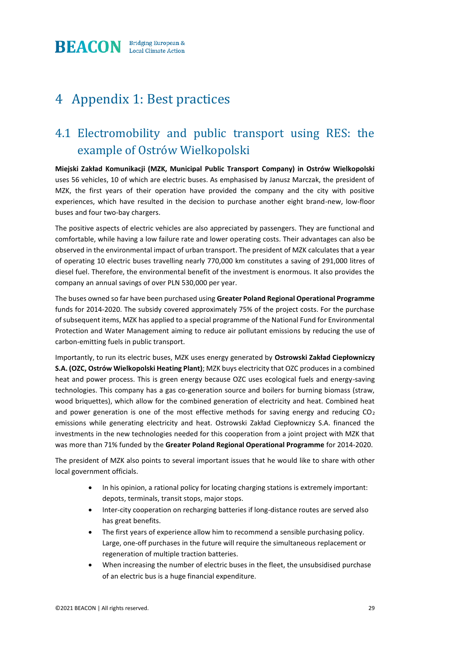

### 4 Appendix 1: Best practices

### 4.1 Electromobility and public transport using RES: the example of Ostrów Wielkopolski

**Miejski Zakład Komunikacji (MZK, Municipal Public Transport Company) in Ostrów Wielkopolski** uses 56 vehicles, 10 of which are electric buses. As emphasised by Janusz Marczak, the president of MZK, the first years of their operation have provided the company and the city with positive experiences, which have resulted in the decision to purchase another eight brand-new, low-floor buses and four two-bay chargers.

The positive aspects of electric vehicles are also appreciated by passengers. They are functional and comfortable, while having a low failure rate and lower operating costs. Their advantages can also be observed in the environmental impact of urban transport. The president of MZK calculates that a year of operating 10 electric buses travelling nearly 770,000 km constitutes a saving of 291,000 litres of diesel fuel. Therefore, the environmental benefit of the investment is enormous. It also provides the company an annual savings of over PLN 530,000 per year.

The buses owned so far have been purchased using **Greater Poland Regional Operational Programme** funds for 2014-2020. The subsidy covered approximately 75% of the project costs. For the purchase of subsequent items, MZK has applied to a special programme of the National Fund for Environmental Protection and Water Management aiming to reduce air pollutant emissions by reducing the use of carbon-emitting fuels in public transport.

Importantly, to run its electric buses, MZK uses energy generated by **Ostrowski Zakład Ciepłowniczy S.A. (OZC, Ostrów Wielkopolski Heating Plant)**; MZK buys electricity that OZC produces in a combined heat and power process. This is green energy because OZC uses ecological fuels and energy-saving technologies. This company has a gas co-generation source and boilers for burning biomass (straw, wood briquettes), which allow for the combined generation of electricity and heat. Combined heat and power generation is one of the most effective methods for saving energy and reducing  $CO<sub>2</sub>$ emissions while generating electricity and heat. Ostrowski Zakład Ciepłowniczy S.A. financed the investments in the new technologies needed for this cooperation from a joint project with MZK that was more than 71% funded by the **Greater Poland Regional Operational Programme** for 2014-2020.

The president of MZK also points to several important issues that he would like to share with other local government officials.

- In his opinion, a rational policy for locating charging stations is extremely important: depots, terminals, transit stops, major stops.
- Inter-city cooperation on recharging batteries if long-distance routes are served also has great benefits.
- The first years of experience allow him to recommend a sensible purchasing policy. Large, one-off purchases in the future will require the simultaneous replacement or regeneration of multiple traction batteries.
- When increasing the number of electric buses in the fleet, the unsubsidised purchase of an electric bus is a huge financial expenditure.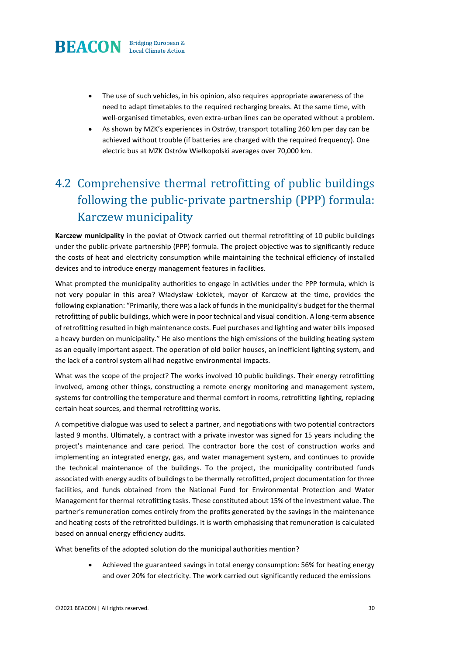

- The use of such vehicles, in his opinion, also requires appropriate awareness of the need to adapt timetables to the required recharging breaks. At the same time, with well-organised timetables, even extra-urban lines can be operated without a problem.
- As shown by MZK's experiences in Ostrów, transport totalling 260 km per day can be achieved without trouble (if batteries are charged with the required frequency). One electric bus at MZK Ostrów Wielkopolski averages over 70,000 km.

### 4.2 Comprehensive thermal retrofitting of public buildings following the public-private partnership (PPP) formula: Karczew municipality

**Karczew municipality** in the poviat of Otwock carried out thermal retrofitting of 10 public buildings under the public-private partnership (PPP) formula. The project objective was to significantly reduce the costs of heat and electricity consumption while maintaining the technical efficiency of installed devices and to introduce energy management features in facilities.

What prompted the municipality authorities to engage in activities under the PPP formula, which is not very popular in this area? Władysław Łokietek, mayor of Karczew at the time, provides the following explanation: "Primarily, there was a lack of funds in the municipality's budget for the thermal retrofitting of public buildings, which were in poor technical and visual condition. A long-term absence of retrofitting resulted in high maintenance costs. Fuel purchases and lighting and water bills imposed a heavy burden on municipality." He also mentions the high emissions of the building heating system as an equally important aspect. The operation of old boiler houses, an inefficient lighting system, and the lack of a control system all had negative environmental impacts.

What was the scope of the project? The works involved 10 public buildings. Their energy retrofitting involved, among other things, constructing a remote energy monitoring and management system, systems for controlling the temperature and thermal comfort in rooms, retrofitting lighting, replacing certain heat sources, and thermal retrofitting works.

A competitive dialogue was used to select a partner, and negotiations with two potential contractors lasted 9 months. Ultimately, a contract with a private investor was signed for 15 years including the project's maintenance and care period. The contractor bore the cost of construction works and implementing an integrated energy, gas, and water management system, and continues to provide the technical maintenance of the buildings. To the project, the municipality contributed funds associated with energy audits of buildings to be thermally retrofitted, project documentation for three facilities, and funds obtained from the National Fund for Environmental Protection and Water Management for thermal retrofitting tasks. These constituted about 15% of the investment value. The partner's remuneration comes entirely from the profits generated by the savings in the maintenance and heating costs of the retrofitted buildings. It is worth emphasising that remuneration is calculated based on annual energy efficiency audits.

What benefits of the adopted solution do the municipal authorities mention?

• Achieved the guaranteed savings in total energy consumption: 56% for heating energy and over 20% for electricity. The work carried out significantly reduced the emissions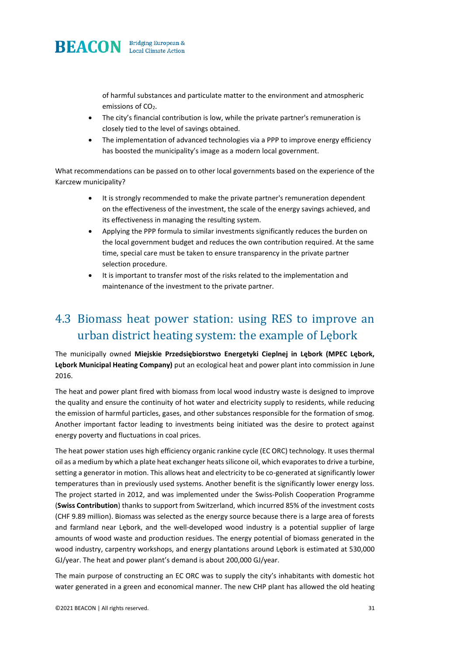

of harmful substances and particulate matter to the environment and atmospheric emissions of CO<sub>2</sub>.

- The city's financial contribution is low, while the private partner's remuneration is closely tied to the level of savings obtained.
- The implementation of advanced technologies via a PPP to improve energy efficiency has boosted the municipality's image as a modern local government.

What recommendations can be passed on to other local governments based on the experience of the Karczew municipality?

- It is strongly recommended to make the private partner's remuneration dependent on the effectiveness of the investment, the scale of the energy savings achieved, and its effectiveness in managing the resulting system.
- Applying the PPP formula to similar investments significantly reduces the burden on the local government budget and reduces the own contribution required. At the same time, special care must be taken to ensure transparency in the private partner selection procedure.
- It is important to transfer most of the risks related to the implementation and maintenance of the investment to the private partner.

### 4.3 Biomass heat power station: using RES to improve an urban district heating system: the example of Lębork

The municipally owned **Miejskie Przedsiębiorstwo Energetyki Cieplnej in Lębork (MPEC Lębork, Lębork Municipal Heating Company)** put an ecological heat and power plant into commission in June 2016.

The heat and power plant fired with biomass from local wood industry waste is designed to improve the quality and ensure the continuity of hot water and electricity supply to residents, while reducing the emission of harmful particles, gases, and other substances responsible for the formation of smog. Another important factor leading to investments being initiated was the desire to protect against energy poverty and fluctuations in coal prices.

The heat power station uses high efficiency organic rankine cycle (EC ORC) technology. It uses thermal oil as a medium by which a plate heat exchanger heats silicone oil, which evaporates to drive a turbine, setting a generator in motion. This allows heat and electricity to be co-generated at significantly lower temperatures than in previously used systems. Another benefit is the significantly lower energy loss. The project started in 2012, and was implemented under the Swiss-Polish Cooperation Programme (**Swiss Contribution**) thanks to support from Switzerland, which incurred 85% of the investment costs (CHF 9.89 million). Biomass was selected as the energy source because there is a large area of forests and farmland near Lębork, and the well-developed wood industry is a potential supplier of large amounts of wood waste and production residues. The energy potential of biomass generated in the wood industry, carpentry workshops, and energy plantations around Lębork is estimated at 530,000 GJ/year. The heat and power plant's demand is about 200,000 GJ/year.

The main purpose of constructing an EC ORC was to supply the city's inhabitants with domestic hot water generated in a green and economical manner. The new CHP plant has allowed the old heating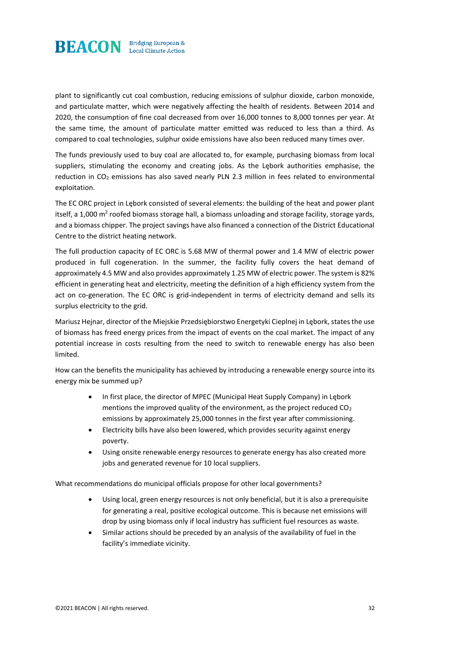

plant to significantly cut coal combustion, reducing emissions of sulphur dioxide, carbon monoxide, and particulate matter, which were negatively affecting the health of residents. Between 2014 and 2020, the consumption of fine coal decreased from over 16,000 tonnes to 8,000 tonnes per year. At the same time, the amount of particulate matter emitted was reduced to less than a third. As compared to coal technologies, sulphur oxide emissions have also been reduced many times over.

The funds previously used to buy coal are allocated to, for example, purchasing biomass from local suppliers, stimulating the economy and creating jobs. As the Lębork authorities emphasise, the reduction in  $CO<sub>2</sub>$  emissions has also saved nearly PLN 2.3 million in fees related to environmental exploitation.

The EC ORC project in Lębork consisted of several elements: the building of the heat and power plant itself, a 1,000 m<sup>2</sup> roofed biomass storage hall, a biomass unloading and storage facility, storage yards, and a biomass chipper. The project savings have also financed a connection of the District Educational Centre to the district heating network.

The full production capacity of EC ORC is 5.68 MW of thermal power and 1.4 MW of electric power produced in full cogeneration. In the summer, the facility fully covers the heat demand of approximately 4.5 MW and also provides approximately 1.25 MW of electric power. The system is 82% efficient in generating heat and electricity, meeting the definition of a high efficiency system from the act on co-generation. The EC ORC is grid-independent in terms of electricity demand and sells its surplus electricity to the grid.

Mariusz Hejnar, director of the Miejskie Przedsiębiorstwo Energetyki Cieplnej in Lębork, states the use of biomass has freed energy prices from the impact of events on the coal market. The impact of any potential increase in costs resulting from the need to switch to renewable energy has also been limited.

How can the benefits the municipality has achieved by introducing a renewable energy source into its energy mix be summed up?

- In first place, the director of MPEC (Municipal Heat Supply Company) in Lębork mentions the improved quality of the environment, as the project reduced  $CO<sub>2</sub>$ emissions by approximately 25,000 tonnes in the first year after commissioning.
- Electricity bills have also been lowered, which provides security against energy poverty.
- Using onsite renewable energy resources to generate energy has also created more jobs and generated revenue for 10 local suppliers.

What recommendations do municipal officials propose for other local governments?

- Using local, green energy resources is not only beneficial, but it is also a prerequisite for generating a real, positive ecological outcome. This is because net emissions will drop by using biomass only if local industry has sufficient fuel resources as waste.
- Similar actions should be preceded by an analysis of the availability of fuel in the facility's immediate vicinity.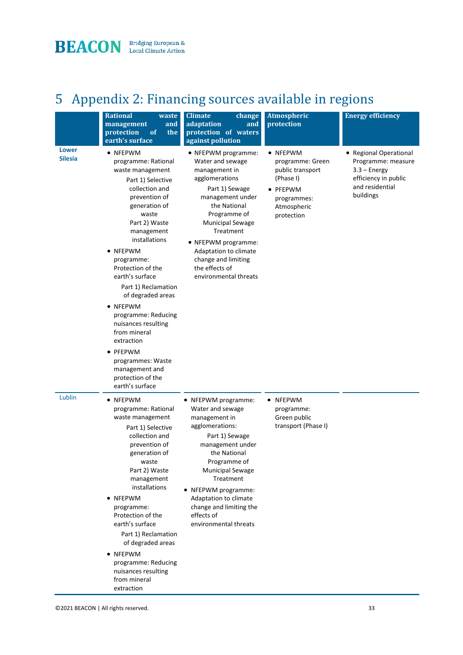

# 5 Appendix 2: Financing sources available in regions

|                                | <b>Rational</b><br>waste<br>management<br>and<br>of<br>protection<br>the<br>earth's surface                                                                                                                                                                                                                                                                                                             | <b>Climate</b><br>change<br>adaptation<br>and<br>protection of waters<br>against pollution                                                                                                                                                                                                                  | Atmospheric<br>protection                                                                                             | <b>Energy efficiency</b>                                                                                               |
|--------------------------------|---------------------------------------------------------------------------------------------------------------------------------------------------------------------------------------------------------------------------------------------------------------------------------------------------------------------------------------------------------------------------------------------------------|-------------------------------------------------------------------------------------------------------------------------------------------------------------------------------------------------------------------------------------------------------------------------------------------------------------|-----------------------------------------------------------------------------------------------------------------------|------------------------------------------------------------------------------------------------------------------------|
| <b>Lower</b><br><b>Silesia</b> | • NFEPWM<br>programme: Rational<br>waste management<br>Part 1) Selective<br>collection and<br>prevention of<br>generation of<br>waste<br>Part 2) Waste<br>management<br>installations<br>• NFEPWM<br>programme:<br>Protection of the<br>earth's surface<br>Part 1) Reclamation<br>of degraded areas<br>• NFEPWM<br>programme: Reducing<br>nuisances resulting<br>from mineral<br>extraction<br>• PFEPWM | • NFEPWM programme:<br>Water and sewage<br>management in<br>agglomerations<br>Part 1) Sewage<br>management under<br>the National<br>Programme of<br><b>Municipal Sewage</b><br>Treatment<br>• NFEPWM programme:<br>Adaptation to climate<br>change and limiting<br>the effects of<br>environmental threats  | • NFEPWM<br>programme: Green<br>public transport<br>(Phase I)<br>• PFEPWM<br>programmes:<br>Atmospheric<br>protection | • Regional Operational<br>Programme: measure<br>$3.3 -$ Energy<br>efficiency in public<br>and residential<br>buildings |
|                                | programmes: Waste<br>management and<br>protection of the<br>earth's surface                                                                                                                                                                                                                                                                                                                             |                                                                                                                                                                                                                                                                                                             |                                                                                                                       |                                                                                                                        |
| Lublin                         | • NFEPWM<br>programme: Rational<br>waste management<br>Part 1) Selective<br>collection and<br>prevention of<br>generation of<br>waste<br>Part 2) Waste<br>management<br>installations<br>• NFEPWM<br>programme:<br>Protection of the<br>earth's surface<br>Part 1) Reclamation<br>of degraded areas<br>• NFEPWM<br>programme: Reducing<br>nuisances resulting<br>from mineral<br>extraction             | • NFEPWM programme:<br>Water and sewage<br>management in<br>agglomerations:<br>Part 1) Sewage<br>management under<br>the National<br>Programme of<br><b>Municipal Sewage</b><br>Treatment<br>• NFEPWM programme:<br>Adaptation to climate<br>change and limiting the<br>effects of<br>environmental threats | • NFEPWM<br>programme:<br>Green public<br>transport (Phase I)                                                         |                                                                                                                        |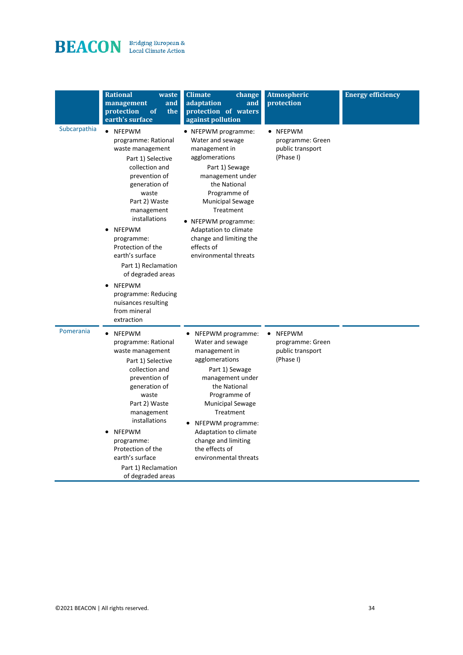# **BEACON** Bridging European &

|              | <b>Rational</b><br>waste<br>management<br>and<br>of<br>protection<br>the<br>earth's surface                                                                                                                                                                                                                                                                                                               | <b>Climate</b><br>change<br>adaptation<br>and<br>protection of waters<br>against pollution                                                                                                                                                                                                                 | <b>Atmospheric</b><br>protection                                                | <b>Energy efficiency</b> |
|--------------|-----------------------------------------------------------------------------------------------------------------------------------------------------------------------------------------------------------------------------------------------------------------------------------------------------------------------------------------------------------------------------------------------------------|------------------------------------------------------------------------------------------------------------------------------------------------------------------------------------------------------------------------------------------------------------------------------------------------------------|---------------------------------------------------------------------------------|--------------------------|
| Subcarpathia | NFEPWM<br>programme: Rational<br>waste management<br>Part 1) Selective<br>collection and<br>prevention of<br>generation of<br>waste<br>Part 2) Waste<br>management<br>installations<br><b>NFEPWM</b><br>programme:<br>Protection of the<br>earth's surface<br>Part 1) Reclamation<br>of degraded areas<br>NFEPWM<br>$\bullet$<br>programme: Reducing<br>nuisances resulting<br>from mineral<br>extraction | • NFEPWM programme:<br>Water and sewage<br>management in<br>agglomerations<br>Part 1) Sewage<br>management under<br>the National<br>Programme of<br><b>Municipal Sewage</b><br>Treatment<br>• NFEPWM programme:<br>Adaptation to climate<br>change and limiting the<br>effects of<br>environmental threats | • NFEPWM<br>programme: Green<br>public transport<br>(Phase I)                   |                          |
| Pomerania    | NFEPWM<br>$\bullet$<br>programme: Rational<br>waste management<br>Part 1) Selective<br>collection and<br>prevention of<br>generation of<br>waste<br>Part 2) Waste<br>management<br>installations<br><b>NFEPWM</b><br>٠<br>programme:<br>Protection of the<br>earth's surface<br>Part 1) Reclamation<br>of degraded areas                                                                                  | NFEPWM programme:<br>Water and sewage<br>management in<br>agglomerations<br>Part 1) Sewage<br>management under<br>the National<br>Programme of<br><b>Municipal Sewage</b><br>Treatment<br>NFEPWM programme:<br>Adaptation to climate<br>change and limiting<br>the effects of<br>environmental threats     | <b>NFEPWM</b><br>$\bullet$<br>programme: Green<br>public transport<br>(Phase I) |                          |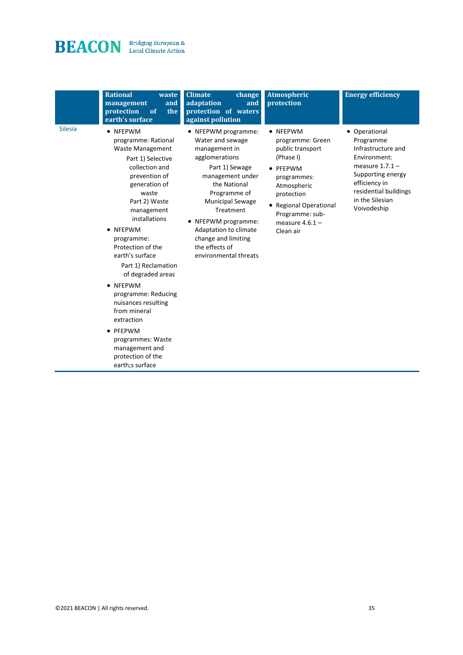# **BEACON** Bridging European &

|                | <b>Rational</b><br>waste<br>and<br>management<br>protection<br>of<br>the<br>earth's surface                                                                                                                                                                                                                                                                                                                                                                                                   | <b>Climate</b><br>change<br>adaptation<br>and<br>protection of waters<br>against pollution                                                                                                                                                                                                                 | Atmospheric<br>protection                                                                                                                                                                                 | <b>Energy efficiency</b>                                                                                                                                                               |
|----------------|-----------------------------------------------------------------------------------------------------------------------------------------------------------------------------------------------------------------------------------------------------------------------------------------------------------------------------------------------------------------------------------------------------------------------------------------------------------------------------------------------|------------------------------------------------------------------------------------------------------------------------------------------------------------------------------------------------------------------------------------------------------------------------------------------------------------|-----------------------------------------------------------------------------------------------------------------------------------------------------------------------------------------------------------|----------------------------------------------------------------------------------------------------------------------------------------------------------------------------------------|
| <b>Silesia</b> | • NFEPWM<br>programme: Rational<br><b>Waste Management</b><br>Part 1) Selective<br>collection and<br>prevention of<br>generation of<br>waste<br>Part 2) Waste<br>management<br>installations<br>• NFEPWM<br>programme:<br>Protection of the<br>earth's surface<br>Part 1) Reclamation<br>of degraded areas<br>• NFEPWM<br>programme: Reducing<br>nuisances resulting<br>from mineral<br>extraction<br>• PFEPWM<br>programmes: Waste<br>management and<br>protection of the<br>earth;s surface | • NFEPWM programme:<br>Water and sewage<br>management in<br>agglomerations<br>Part 1) Sewage<br>management under<br>the National<br>Programme of<br><b>Municipal Sewage</b><br>Treatment<br>• NFEPWM programme:<br>Adaptation to climate<br>change and limiting<br>the effects of<br>environmental threats | • NFEPWM<br>programme: Green<br>public transport<br>(Phase I)<br>• PFEPWM<br>programmes:<br>Atmospheric<br>protection<br><b>Regional Operational</b><br>Programme: sub-<br>measure $4.6.1 -$<br>Clean air | • Operational<br>Programme<br>Infrastructure and<br>Environment:<br>measure $1.7.1 -$<br>Supporting energy<br>efficiency in<br>residential buildings<br>in the Silesian<br>Voivodeship |